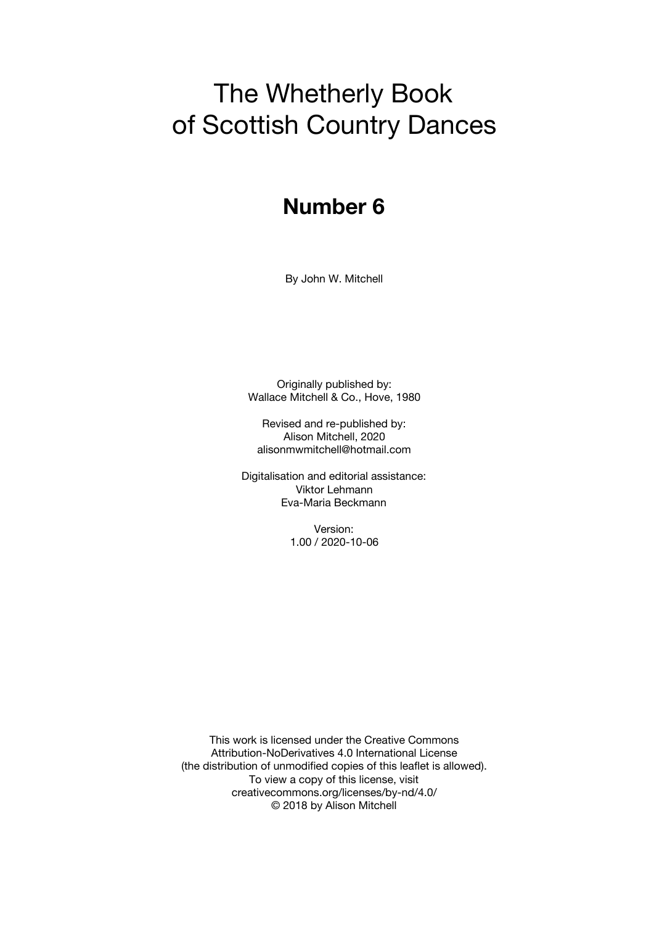# The Whetherly Book of Scottish Country Dances

# **Number 6**

By John W. Mitchell

Originally published by: Wallace Mitchell & Co., Hove, 1980

Revised and re-published by: Alison Mitchell, 2020 alisonmwmitchell@hotmail.com

Digitalisation and editorial assistance: Viktor Lehmann Eva-Maria Beckmann

> Version: 1.00 / 2020-10-06

This work is licensed under the Creative Commons Attribution-NoDerivatives 4.0 International License (the distribution of unmodified copies of this leaflet is allowed). To view a copy of this license, visit creativecommons.org/licenses/by-nd/4.0/ © 2018 by Alison Mitchell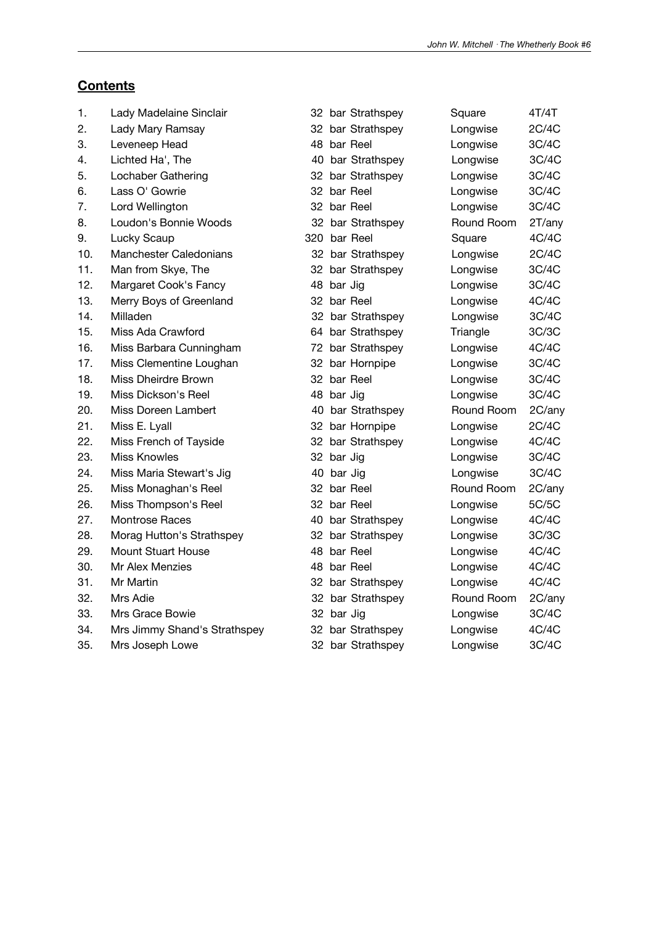### **Contents**

| 1.  | Lady Madelaine Sinclair       |              | 32 bar Strathspey | Square     | 4T/4T  |
|-----|-------------------------------|--------------|-------------------|------------|--------|
| 2.  | Lady Mary Ramsay              |              | 32 bar Strathspey | Longwise   | 2C/4C  |
| 3.  | Leveneep Head                 | 48 bar Reel  |                   | Longwise   | 3C/4C  |
| 4.  | Lichted Ha', The              |              | 40 bar Strathspey | Longwise   | 3C/4C  |
| 5.  | Lochaber Gathering            |              | 32 bar Strathspey | Longwise   | 3C/4C  |
| 6.  | Lass O' Gowrie                | 32 bar Reel  |                   | Longwise   | 3C/4C  |
| 7.  | Lord Wellington               | 32 bar Reel  |                   | Longwise   | 3C/4C  |
| 8.  | Loudon's Bonnie Woods         |              | 32 bar Strathspey | Round Room | 2T/any |
| 9.  | Lucky Scaup                   | 320 bar Reel |                   | Square     | 4C/4C  |
| 10. | <b>Manchester Caledonians</b> |              | 32 bar Strathspey | Longwise   | 2C/4C  |
| 11. | Man from Skye, The            |              | 32 bar Strathspey | Longwise   | 3C/4C  |
| 12. | Margaret Cook's Fancy         | 48 bar Jig   |                   | Longwise   | 3C/4C  |
| 13. | Merry Boys of Greenland       | 32 bar Reel  |                   | Longwise   | 4C/4C  |
| 14. | Milladen                      |              | 32 bar Strathspey | Longwise   | 3C/4C  |
| 15. | Miss Ada Crawford             |              | 64 bar Strathspey | Triangle   | 3C/3C  |
| 16. | Miss Barbara Cunningham       |              | 72 bar Strathspey | Longwise   | 4C/4C  |
| 17. | Miss Clementine Loughan       |              | 32 bar Hornpipe   | Longwise   | 3C/4C  |
| 18. | Miss Dheirdre Brown           | 32 bar Reel  |                   | Longwise   | 3C/4C  |
| 19. | Miss Dickson's Reel           | 48 bar Jig   |                   | Longwise   | 3C/4C  |
| 20. | Miss Doreen Lambert           |              | 40 bar Strathspey | Round Room | 2C/any |
| 21. | Miss E. Lyall                 |              | 32 bar Hornpipe   | Longwise   | 2C/4C  |
| 22. | Miss French of Tayside        |              | 32 bar Strathspey | Longwise   | 4C/4C  |
| 23. | <b>Miss Knowles</b>           | 32 bar Jig   |                   | Longwise   | 3C/4C  |
| 24. | Miss Maria Stewart's Jig      | 40 bar Jig   |                   | Longwise   | 3C/4C  |
| 25. | Miss Monaghan's Reel          | 32 bar Reel  |                   | Round Room | 2C/any |
| 26. | Miss Thompson's Reel          | 32 bar Reel  |                   | Longwise   | 5C/5C  |
| 27. | Montrose Races                |              | 40 bar Strathspey | Longwise   | 4C/4C  |
| 28. | Morag Hutton's Strathspey     |              | 32 bar Strathspey | Longwise   | 3C/3C  |
| 29. | <b>Mount Stuart House</b>     | 48 bar Reel  |                   | Longwise   | 4C/4C  |
| 30. | Mr Alex Menzies               | 48 bar Reel  |                   | Longwise   | 4C/4C  |
| 31. | Mr Martin                     |              | 32 bar Strathspey | Longwise   | 4C/4C  |
| 32. | Mrs Adie                      |              | 32 bar Strathspey | Round Room | 2C/any |
| 33. | Mrs Grace Bowie               | 32 bar Jig   |                   | Longwise   | 3C/4C  |
| 34. | Mrs Jimmy Shand's Strathspey  |              | 32 bar Strathspey | Longwise   | 4C/4C  |
| 35. | Mrs Joseph Lowe               |              | 32 bar Strathspey | Longwise   | 3C/4C  |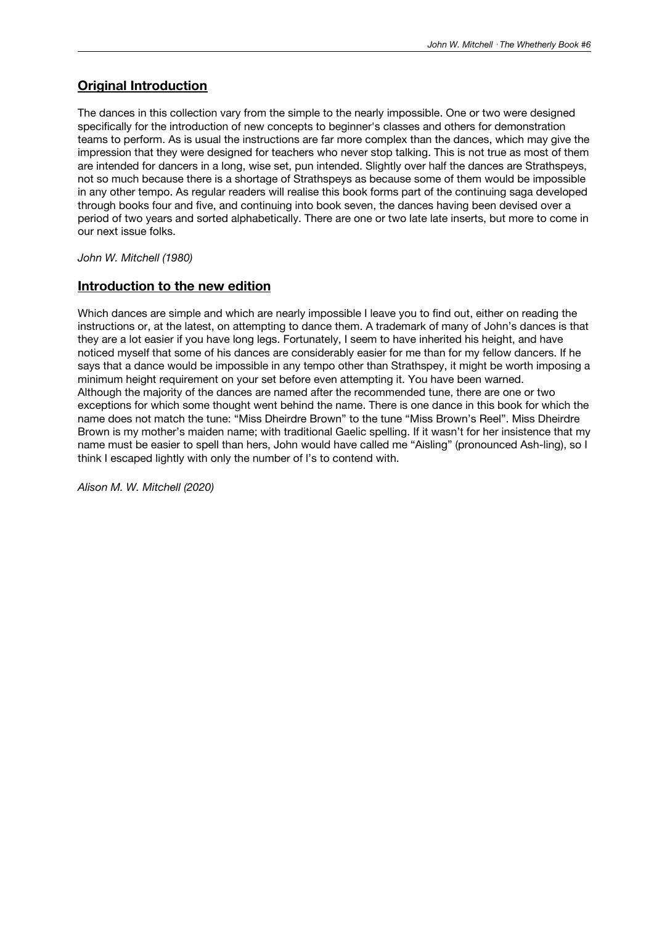#### **Original Introduction**

The dances in this collection vary from the simple to the nearly impossible. One or two were designed specifically for the introduction of new concepts to beginner's classes and others for demonstration teams to perform. As is usual the instructions are far more complex than the dances, which may give the impression that they were designed for teachers who never stop talking. This is not true as most of them are intended for dancers in a long, wise set, pun intended. Slightly over half the dances are Strathspeys, not so much because there is a shortage of Strathspeys as because some of them would be impossible in any other tempo. As regular readers will realise this book forms part of the continuing saga developed through books four and five, and continuing into book seven, the dances having been devised over a period of two years and sorted alphabetically. There are one or two late late inserts, but more to come in our next issue folks.

*John W. Mitchell (1980)*

#### **Introduction to the new edition**

Which dances are simple and which are nearly impossible I leave you to find out, either on reading the instructions or, at the latest, on attempting to dance them. A trademark of many of John's dances is that they are a lot easier if you have long legs. Fortunately, I seem to have inherited his height, and have noticed myself that some of his dances are considerably easier for me than for my fellow dancers. If he says that a dance would be impossible in any tempo other than Strathspey, it might be worth imposing a minimum height requirement on your set before even attempting it. You have been warned. Although the majority of the dances are named after the recommended tune, there are one or two exceptions for which some thought went behind the name. There is one dance in this book for which the name does not match the tune: "Miss Dheirdre Brown" to the tune "Miss Brown's Reel". Miss Dheirdre Brown is my mother's maiden name; with traditional Gaelic spelling. If it wasn't for her insistence that my name must be easier to spell than hers, John would have called me "Aisling" (pronounced Ash-ling), so I think I escaped lightly with only the number of l's to contend with.

*Alison M. W. Mitchell (2020)*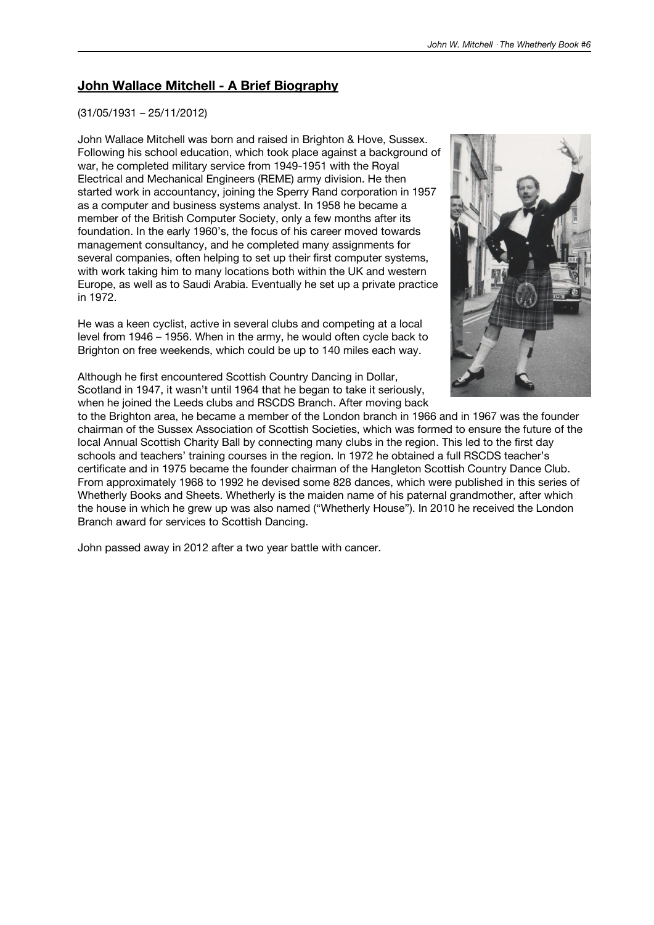#### **John Wallace Mitchell - A Brief Biography**

#### (31/05/1931 – 25/11/2012)

John Wallace Mitchell was born and raised in Brighton & Hove, Sussex. Following his school education, which took place against a background of war, he completed military service from 1949-1951 with the Royal Electrical and Mechanical Engineers (REME) army division. He then started work in accountancy, joining the Sperry Rand corporation in 1957 as a computer and business systems analyst. In 1958 he became a member of the British Computer Society, only a few months after its foundation. In the early 1960's, the focus of his career moved towards management consultancy, and he completed many assignments for several companies, often helping to set up their first computer systems, with work taking him to many locations both within the UK and western Europe, as well as to Saudi Arabia. Eventually he set up a private practice in 1972.

He was a keen cyclist, active in several clubs and competing at a local level from 1946 – 1956. When in the army, he would often cycle back to Brighton on free weekends, which could be up to 140 miles each way.



Although he first encountered Scottish Country Dancing in Dollar, Scotland in 1947, it wasn't until 1964 that he began to take it seriously, when he joined the Leeds clubs and RSCDS Branch. After moving back

to the Brighton area, he became a member of the London branch in 1966 and in 1967 was the founder chairman of the Sussex Association of Scottish Societies, which was formed to ensure the future of the local Annual Scottish Charity Ball by connecting many clubs in the region. This led to the first day schools and teachers' training courses in the region. In 1972 he obtained a full RSCDS teacher's certificate and in 1975 became the founder chairman of the Hangleton Scottish Country Dance Club. From approximately 1968 to 1992 he devised some 828 dances, which were published in this series of Whetherly Books and Sheets. Whetherly is the maiden name of his paternal grandmother, after which the house in which he grew up was also named ("Whetherly House"). In 2010 he received the London Branch award for services to Scottish Dancing.

John passed away in 2012 after a two year battle with cancer.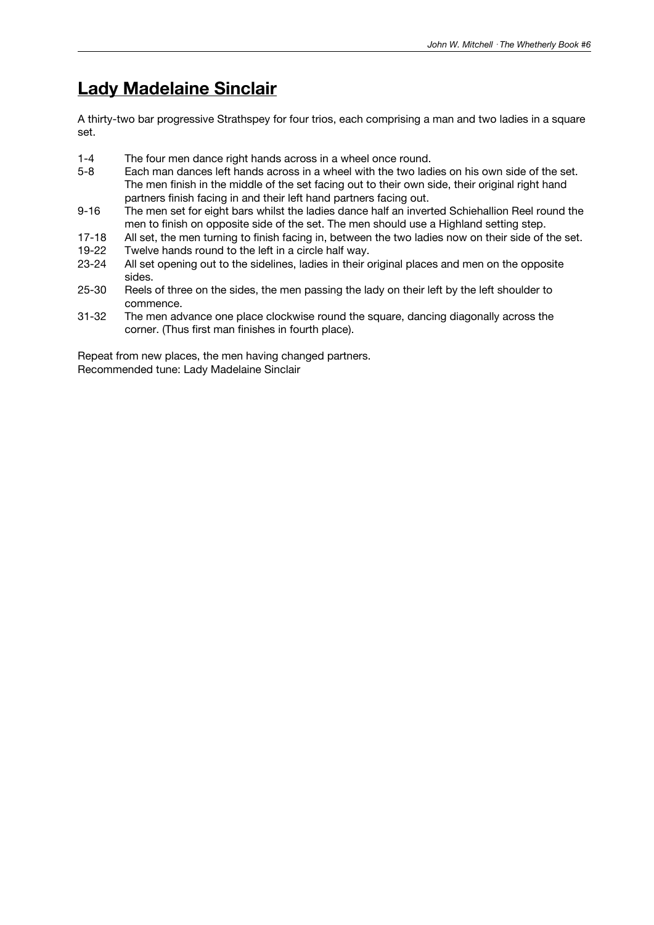### **Lady Madelaine Sinclair**

A thirty-two bar progressive Strathspey for four trios, each comprising a man and two ladies in a square set.

- 1-4 The four men dance right hands across in a wheel once round.<br>5-8 Each man dances left hands across in a wheel with the two lad
- Each man dances left hands across in a wheel with the two ladies on his own side of the set. The men finish in the middle of the set facing out to their own side, their original right hand partners finish facing in and their left hand partners facing out.
- 9-16 The men set for eight bars whilst the ladies dance half an inverted Schiehallion Reel round the men to finish on opposite side of the set. The men should use a Highland setting step.
- 17-18 All set, the men turning to finish facing in, between the two ladies now on their side of the set.<br>19-22 Twelve hands round to the left in a circle half way.
- 19-22 Twelve hands round to the left in a circle half way.<br>23-24 All set opening out to the sidelines, ladies in their o
- All set opening out to the sidelines, ladies in their original places and men on the opposite sides.
- 25-30 Reels of three on the sides, the men passing the lady on their left by the left shoulder to commence.
- 31-32 The men advance one place clockwise round the square, dancing diagonally across the corner. (Thus first man finishes in fourth place).

Repeat from new places, the men having changed partners. Recommended tune: Lady Madelaine Sinclair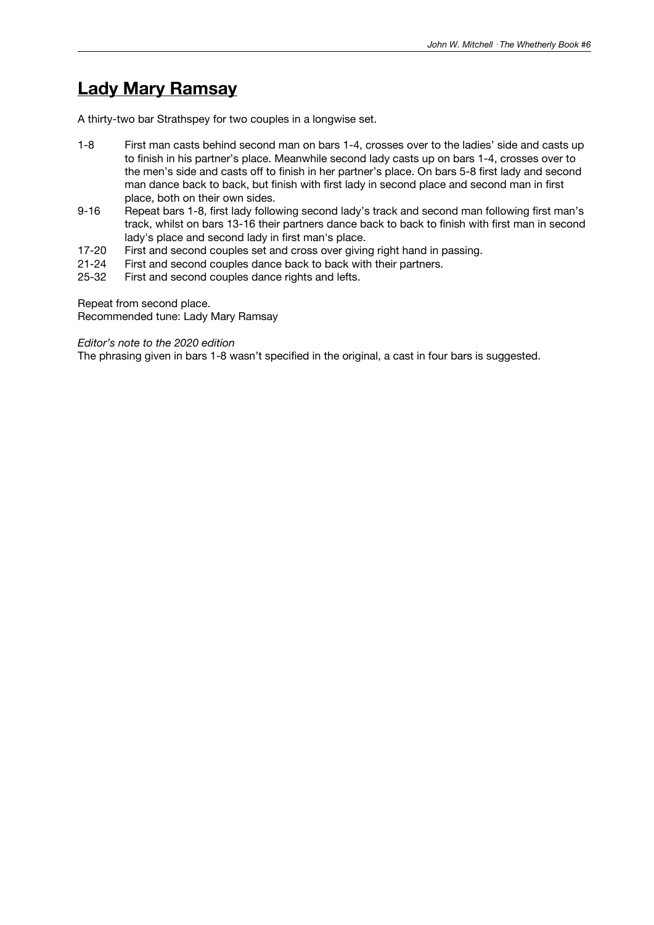### **Lady Mary Ramsay**

A thirty-two bar Strathspey for two couples in a longwise set.

- 1-8 First man casts behind second man on bars 1-4, crosses over to the ladies' side and casts up to finish in his partner's place. Meanwhile second lady casts up on bars 1-4, crosses over to the men's side and casts off to finish in her partner's place. On bars 5-8 first lady and second man dance back to back, but finish with first lady in second place and second man in first place, both on their own sides.
- 9-16 Repeat bars 1-8, first lady following second lady's track and second man following first man's track, whilst on bars 13-16 their partners dance back to back to finish with first man in second lady's place and second lady in first man's place.
- 17-20 First and second couples set and cross over giving right hand in passing.<br>21-24 First and second couples dance back to back with their partners.
- 21-24 First and second couples dance back to back with their partners.<br>25-32 First and second couples dance rights and lefts.
- First and second couples dance rights and lefts.

Repeat from second place.

Recommended tune: Lady Mary Ramsay

*Editor's note to the 2020 edition*

The phrasing given in bars 1-8 wasn't specified in the original, a cast in four bars is suggested.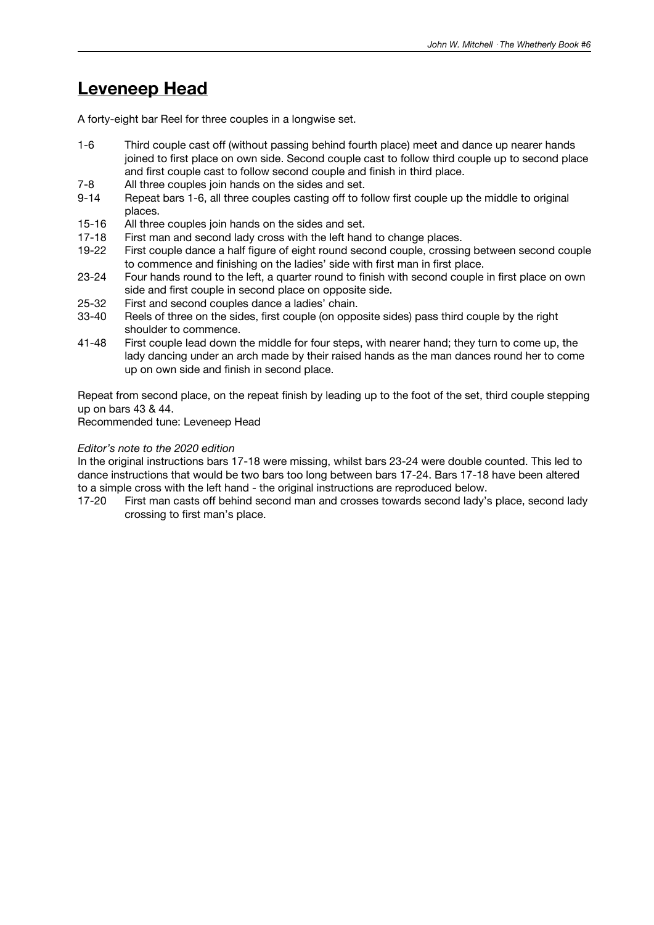### **Leveneep Head**

A forty-eight bar Reel for three couples in a longwise set.

- 1-6 Third couple cast off (without passing behind fourth place) meet and dance up nearer hands joined to first place on own side. Second couple cast to follow third couple up to second place and first couple cast to follow second couple and finish in third place.
- 7-8 All three couples join hands on the sides and set.
- 9-14 Repeat bars 1-6, all three couples casting off to follow first couple up the middle to original places.
- 15-16 All three couples join hands on the sides and set.
- 17-18 First man and second lady cross with the left hand to change places.<br>19-22 First couple dance a half figure of eight round second couple, crossin
- First couple dance a half figure of eight round second couple, crossing between second couple to commence and finishing on the ladies' side with first man in first place.
- 23-24 Four hands round to the left, a quarter round to finish with second couple in first place on own side and first couple in second place on opposite side.
- 25-32 First and second couples dance a ladies' chain.
- 33-40 Reels of three on the sides, first couple (on opposite sides) pass third couple by the right shoulder to commence.
- 41-48 First couple Iead down the middle for four steps, with nearer hand; they turn to come up, the lady dancing under an arch made by their raised hands as the man dances round her to come up on own side and finish in second place.

Repeat from second place, on the repeat finish by leading up to the foot of the set, third couple stepping up on bars 43 & 44.

Recommended tune: Leveneep Head

#### *Editor's note to the 2020 edition*

In the original instructions bars 17-18 were missing, whilst bars 23-24 were double counted. This led to dance instructions that would be two bars too long between bars 17-24. Bars 17-18 have been altered to a simple cross with the left hand - the original instructions are reproduced below.

17-20 First man casts off behind second man and crosses towards second lady's place, second lady crossing to first man's place.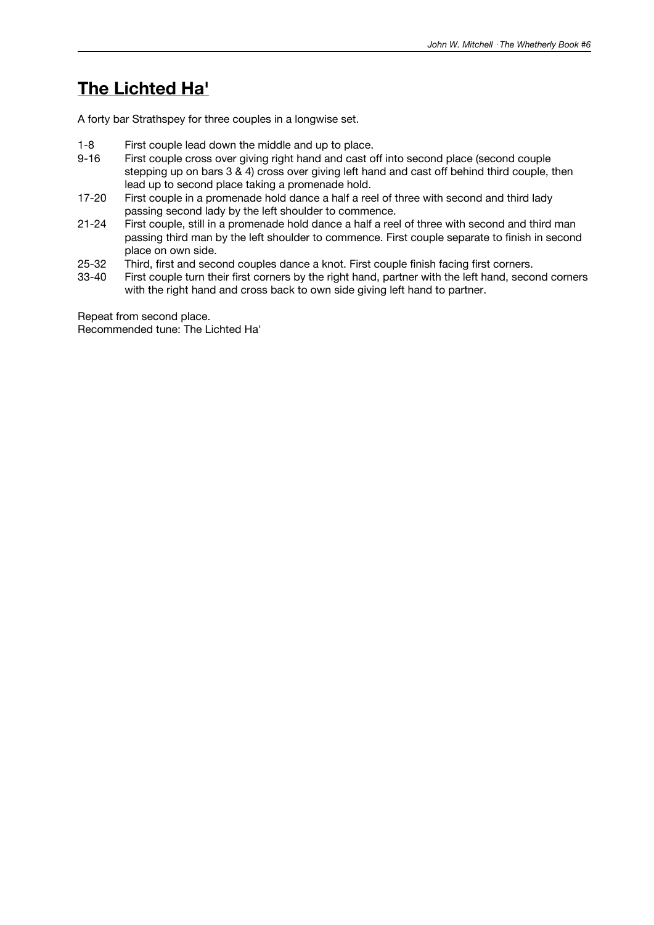### **The Lichted Ha'**

A forty bar Strathspey for three couples in a longwise set.

- 1-8 First couple lead down the middle and up to place.<br>9-16 First couple cross over giving right hand and cast o
- First couple cross over giving right hand and cast off into second place (second couple stepping up on bars 3 & 4) cross over giving left hand and cast off behind third couple, then lead up to second place taking a promenade hold.
- 17-20 First couple in a promenade hold dance a half a reel of three with second and third lady passing second lady by the left shoulder to commence.
- 21-24 First couple, still in a promenade hold dance a half a reel of three with second and third man passing third man by the left shoulder to commence. First couple separate to finish in second place on own side.
- 25-32 Third, first and second couples dance a knot. First couple finish facing first corners.<br>33-40 First couple turn their first corners by the right hand, partner with the left hand, seco
- First couple turn their first corners by the right hand, partner with the left hand, second corners with the right hand and cross back to own side giving left hand to partner.

Repeat from second place. Recommended tune: The Lichted Ha'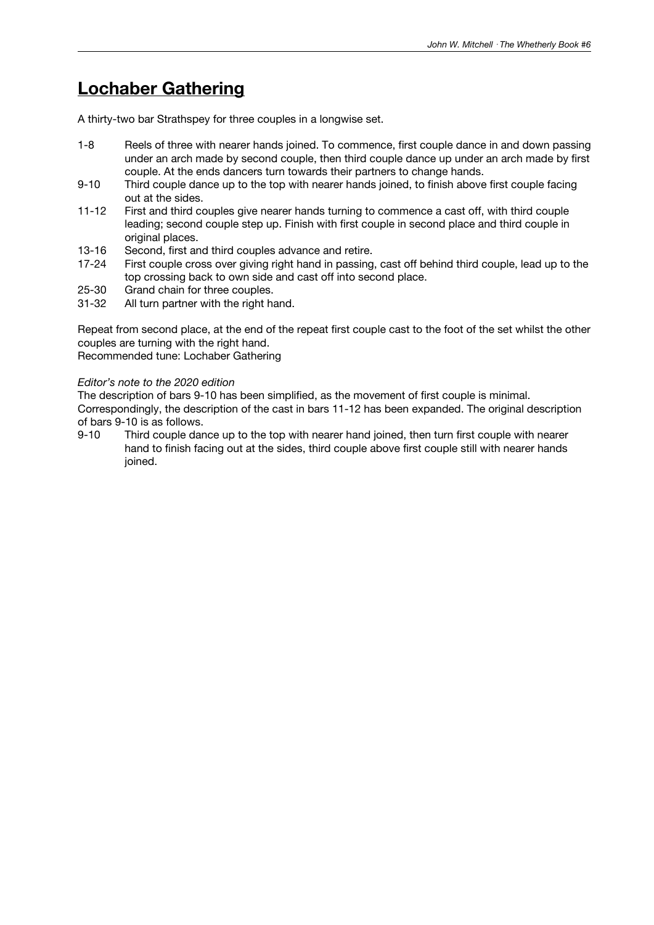# **Lochaber Gathering**

A thirty-two bar Strathspey for three couples in a longwise set.

- 1-8 Reels of three with nearer hands joined. To commence, first couple dance in and down passing under an arch made by second couple, then third couple dance up under an arch made by first couple. At the ends dancers turn towards their partners to change hands.
- 9-10 Third couple dance up to the top with nearer hands joined, to finish above first couple facing out at the sides.
- 11-12 First and third couples give nearer hands turning to commence a cast off, with third couple leading; second couple step up. Finish with first couple in second place and third couple in original places.
- 13-16 Second, first and third couples advance and retire.<br>17-24 First couple cross over giving right hand in passing.
- First couple cross over giving right hand in passing, cast off behind third couple, lead up to the top crossing back to own side and cast off into second place.
- 25-30 Grand chain for three couples.<br>31-32 All turn partner with the right has
- All turn partner with the right hand.

Repeat from second place, at the end of the repeat first couple cast to the foot of the set whilst the other couples are turning with the right hand.

Recommended tune: Lochaber Gathering

#### *Editor's note to the 2020 edition*

The description of bars 9-10 has been simplified, as the movement of first couple is minimal. Correspondingly, the description of the cast in bars 11-12 has been expanded. The original description of bars 9-10 is as follows.

9-10 Third couple dance up to the top with nearer hand joined, then turn first couple with nearer hand to finish facing out at the sides, third couple above first couple still with nearer hands joined.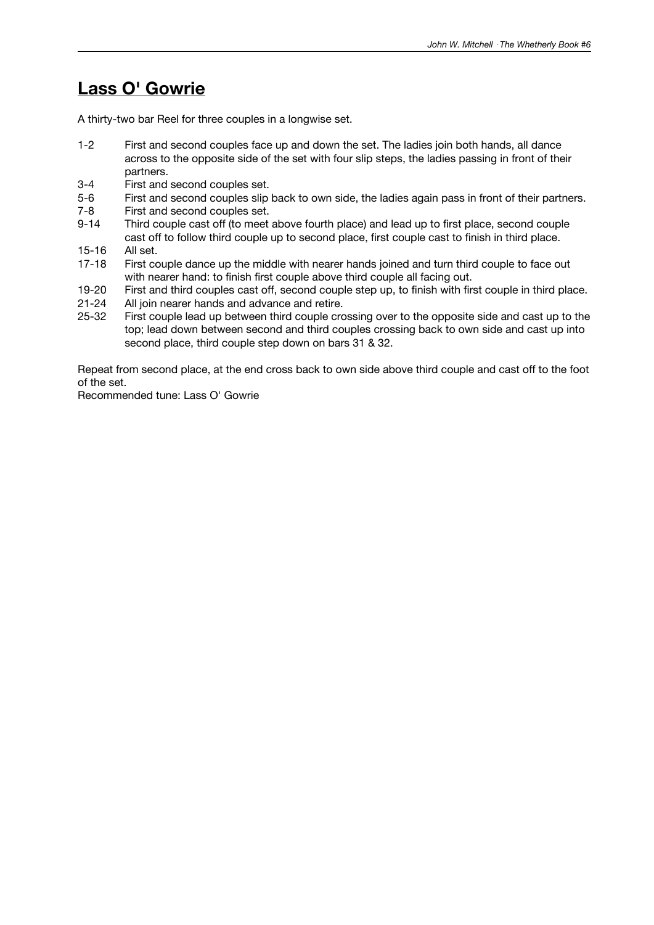### **Lass O' Gowrie**

A thirty-two bar Reel for three couples in a longwise set.

- 1-2 First and second couples face up and down the set. The ladies join both hands, all dance across to the opposite side of the set with four slip steps, the ladies passing in front of their partners.
- 3-4 First and second couples set.
- 5-6 First and second couples slip back to own side, the ladies again pass in front of their partners.
- 7-8 First and second couples set.
- 9-14 Third couple cast off (to meet above fourth place) and lead up to first place, second couple cast off to follow third couple up to second place, first couple cast to finish in third place.
- 15-16 All set.<br>17-18 First co
- First couple dance up the middle with nearer hands joined and turn third couple to face out with nearer hand: to finish first couple above third couple all facing out.
- 19-20 First and third couples cast off, second couple step up, to finish with first couple in third place.
- 21-24 All join nearer hands and advance and retire.
- 25-32 First couple lead up between third couple crossing over to the opposite side and cast up to the top; lead down between second and third couples crossing back to own side and cast up into second place, third couple step down on bars 31 & 32.

Repeat from second place, at the end cross back to own side above third couple and cast off to the foot of the set.

Recommended tune: Lass O' Gowrie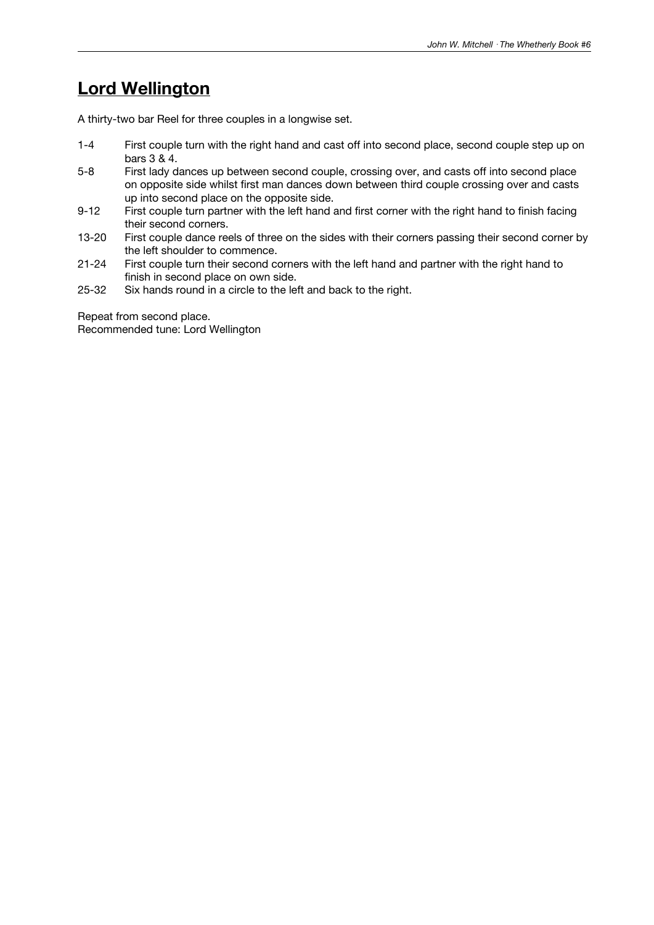### **Lord Wellington**

A thirty-two bar Reel for three couples in a longwise set.

- 1-4 First couple turn with the right hand and cast off into second place, second couple step up on bars 3 & 4.
- 5-8 First lady dances up between second couple, crossing over, and casts off into second place on opposite side whilst first man dances down between third couple crossing over and casts up into second place on the opposite side.
- 9-12 First couple turn partner with the left hand and first corner with the right hand to finish facing their second corners.
- 13-20 First couple dance reels of three on the sides with their corners passing their second corner by the left shoulder to commence.
- 21-24 First couple turn their second corners with the left hand and partner with the right hand to finish in second place on own side.
- 25-32 Six hands round in a circle to the left and back to the right.

Repeat from second place. Recommended tune: Lord Wellington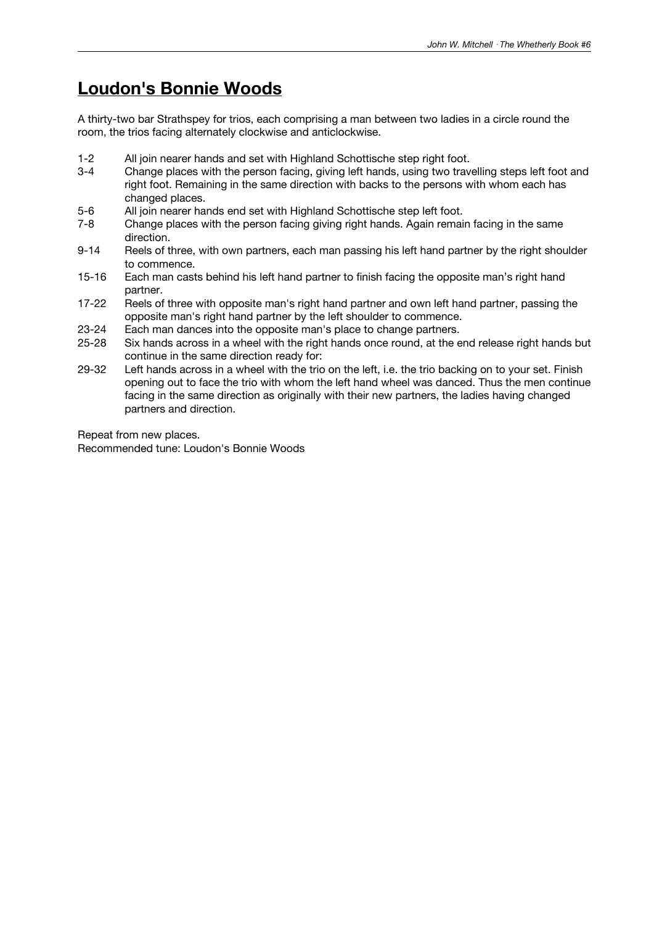### **Loudon's Bonnie Woods**

A thirty-two bar Strathspey for trios, each comprising a man between two ladies in a circle round the room, the trios facing alternately clockwise and anticlockwise.

- 1-2 All join nearer hands and set with Highland Schottische step right foot.<br>3-4 Change places with the person facing, giving left hands, using two trave
- Change places with the person facing, giving left hands, using two travelling steps left foot and right foot. Remaining in the same direction with backs to the persons with whom each has changed places.
- 5-6 All join nearer hands end set with Highland Schottische step left foot.
- 7-8 Change places with the person facing giving right hands. Again remain facing in the same direction.
- 9-14 Reels of three, with own partners, each man passing his left hand partner by the right shoulder to commence.
- 15-16 Each man casts behind his left hand partner to finish facing the opposite man's right hand partner.
- 17-22 Reels of three with opposite man's right hand partner and own left hand partner, passing the opposite man's right hand partner by the left shoulder to commence.
- 23-24 Each man dances into the opposite man's place to change partners.
- 25-28 Six hands across in a wheel with the right hands once round, at the end release right hands but continue in the same direction ready for:
- 29-32 Left hands across in a wheel with the trio on the left, i.e. the trio backing on to your set. Finish opening out to face the trio with whom the left hand wheel was danced. Thus the men continue facing in the same direction as originally with their new partners, the ladies having changed partners and direction.

Repeat from new places.

Recommended tune: Loudon's Bonnie Woods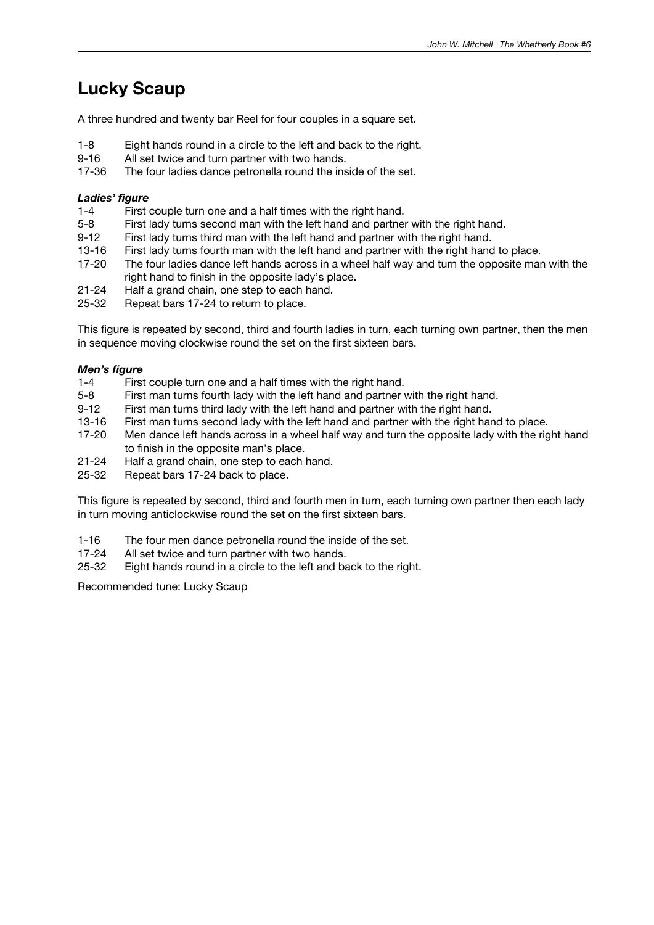## **Lucky Scaup**

A three hundred and twenty bar Reel for four couples in a square set.

- 1-8 Eight hands round in a circle to the left and back to the right.
- 9-16 All set twice and turn partner with two hands.<br>17-36 The four ladies dance petronella round the ins
- The four ladies dance petronella round the inside of the set.

#### *Ladies' figure*

- 1-4 First couple turn one and a half times with the right hand.
- 5-8 First lady turns second man with the left hand and partner with the right hand.
- 9-12 First lady turns third man with the left hand and partner with the right hand.
- 13-16 First lady turns fourth man with the left hand and partner with the right hand to place.<br>17-20 The four ladies dance left hands across in a wheel half way and turn the opposite mar
- The four ladies dance left hands across in a wheel half way and turn the opposite man with the right hand to finish in the opposite lady's place.
- 21-24 Half a grand chain, one step to each hand.
- 25-32 Repeat bars 17-24 to return to place.

This figure is repeated by second, third and fourth ladies in turn, each turning own partner, then the men in sequence moving clockwise round the set on the first sixteen bars.

#### *Men's figure*

- 1-4 First couple turn one and a half times with the right hand.<br>5-8 First man turns fourth lady with the left hand and partner
- 5-8 First man turns fourth lady with the left hand and partner with the right hand.<br>9-12 First man turns third lady with the left hand and partner with the right hand.
- First man turns third lady with the left hand and partner with the right hand.
- 13-16 First man turns second lady with the left hand and partner with the right hand to place.
- 17-20 Men dance left hands across in a wheel half way and turn the opposite lady with the right hand to finish in the opposite man's place.
- 21-24 Half a grand chain, one step to each hand.
- 25-32 Repeat bars 17-24 back to place.

This figure is repeated by second, third and fourth men in turn, each turning own partner then each lady in turn moving anticlockwise round the set on the first sixteen bars.

- 1-16 The four men dance petronella round the inside of the set.<br>17-24 All set twice and turn partner with two hands.
- All set twice and turn partner with two hands.
- 25-32 Eight hands round in a circle to the left and back to the right.

Recommended tune: Lucky Scaup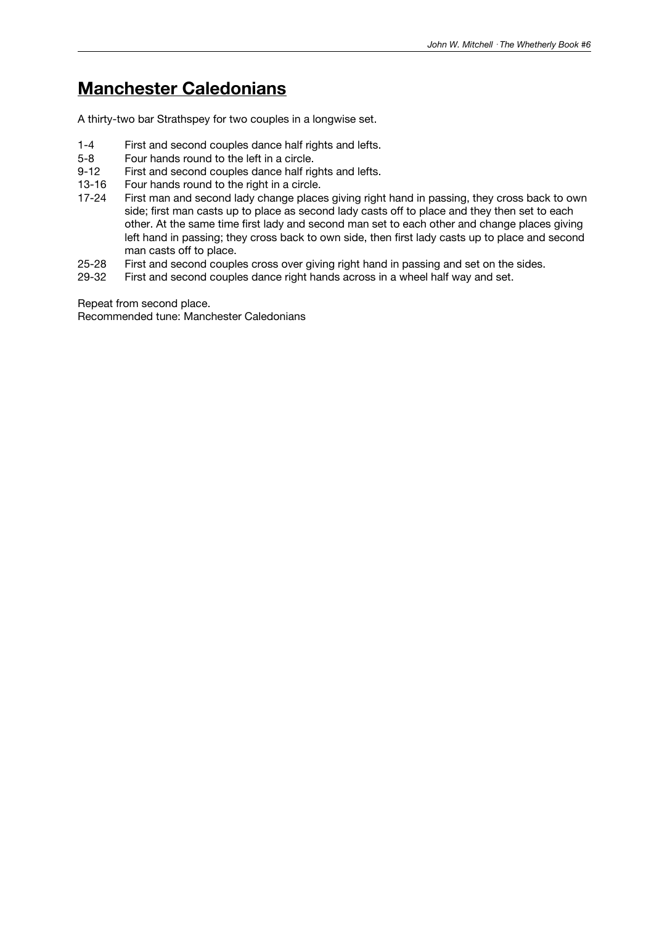### **Manchester Caledonians**

A thirty-two bar Strathspey for two couples in a longwise set.

- 1-4 First and second couples dance half rights and lefts.
- 5-8 Four hands round to the left in a circle.<br>9-12 First and second couples dance half rig
- First and second couples dance half rights and lefts.
- 13-16 Four hands round to the right in a circle.
- 17-24 First man and second lady change places giving right hand in passing, they cross back to own side; first man casts up to place as second lady casts off to place and they then set to each other. At the same time first lady and second man set to each other and change places giving left hand in passing; they cross back to own side, then first lady casts up to place and second man casts off to place.
- 25-28 First and second couples cross over giving right hand in passing and set on the sides.<br>29-32 First and second couples dance right hands across in a wheel half way and set.
- First and second couples dance right hands across in a wheel half way and set.

Repeat from second place.

Recommended tune: Manchester Caledonians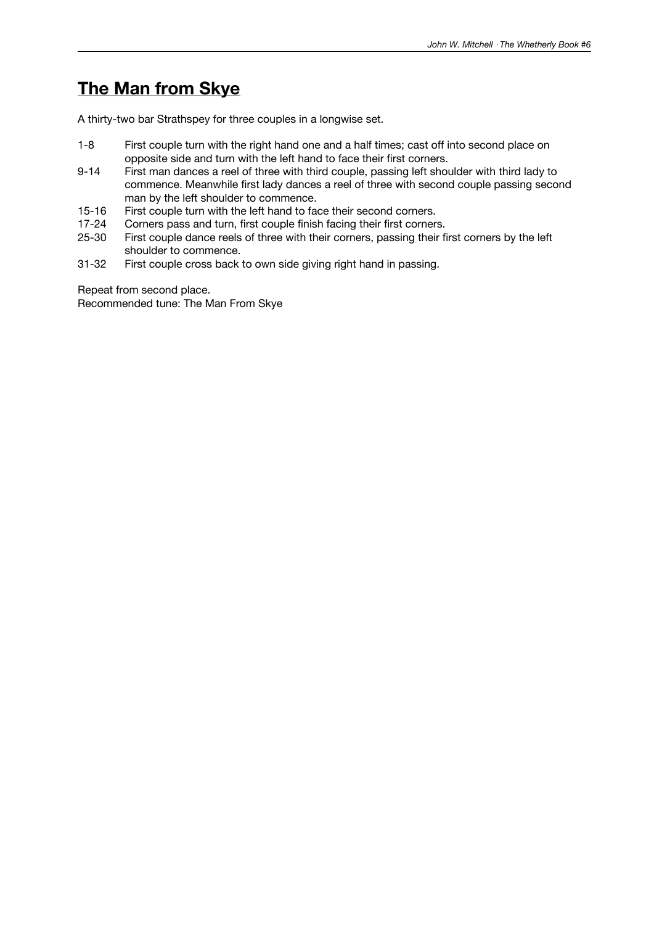# **The Man from Skye**

A thirty-two bar Strathspey for three couples in a longwise set.

- 1-8 First couple turn with the right hand one and a half times; cast off into second place on opposite side and turn with the left hand to face their first corners.
- 9-14 First man dances a reel of three with third couple, passing left shoulder with third lady to commence. Meanwhile first lady dances a reel of three with second couple passing second man by the left shoulder to commence.
- 15-16 First couple turn with the left hand to face their second corners.
- 17-24 Corners pass and turn, first couple finish facing their first corners.
- 25-30 First couple dance reels of three with their corners, passing their first corners by the left shoulder to commence.
- 31-32 First couple cross back to own side giving right hand in passing.

Repeat from second place. Recommended tune: The Man From Skye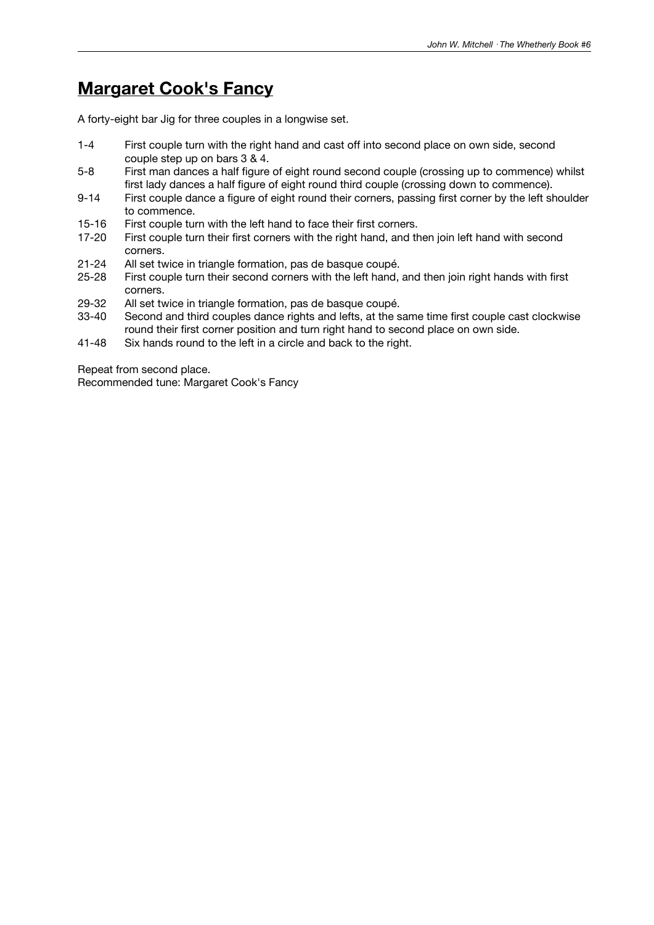### **Margaret Cook's Fancy**

A forty-eight bar Jig for three couples in a longwise set.

- 1-4 First couple turn with the right hand and cast off into second place on own side, second couple step up on bars 3 & 4.
- 5-8 First man dances a half figure of eight round second couple (crossing up to commence) whilst first lady dances a half figure of eight round third couple (crossing down to commence).
- 9-14 First couple dance a figure of eight round their corners, passing first corner by the left shoulder to commence.
- 15-16 First couple turn with the left hand to face their first corners.
- 17-20 First couple turn their first corners with the right hand, and then join left hand with second corners.
- 21-24 All set twice in triangle formation, pas de basque coupé.
- 25-28 First couple turn their second corners with the left hand, and then join right hands with first corners.
- 29-32 All set twice in triangle formation, pas de basque coupé.
- 33-40 Second and third couples dance rights and lefts, at the same time first couple cast clockwise round their first corner position and turn right hand to second place on own side.
- 41-48 Six hands round to the left in a circle and back to the right.

Repeat from second place.

Recommended tune: Margaret Cook's Fancy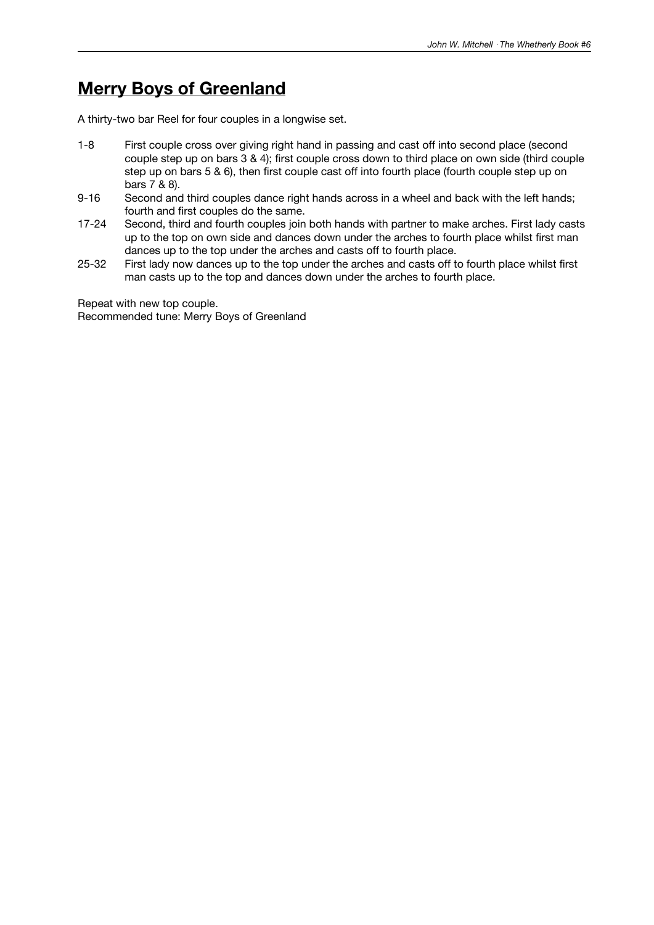### **Merry Boys of Greenland**

A thirty-two bar Reel for four couples in a longwise set.

- 1-8 First couple cross over giving right hand in passing and cast off into second place (second couple step up on bars 3 & 4); first couple cross down to third place on own side (third couple step up on bars 5 & 6), then first couple cast off into fourth place (fourth couple step up on bars 7 & 8).
- 9-16 Second and third couples dance right hands across in a wheel and back with the left hands; fourth and first couples do the same.
- 17-24 Second, third and fourth couples join both hands with partner to make arches. First lady casts up to the top on own side and dances down under the arches to fourth place whilst first man dances up to the top under the arches and casts off to fourth place.
- 25-32 First lady now dances up to the top under the arches and casts off to fourth place whilst first man casts up to the top and dances down under the arches to fourth place.

Repeat with new top couple.

Recommended tune: Merry Boys of Greenland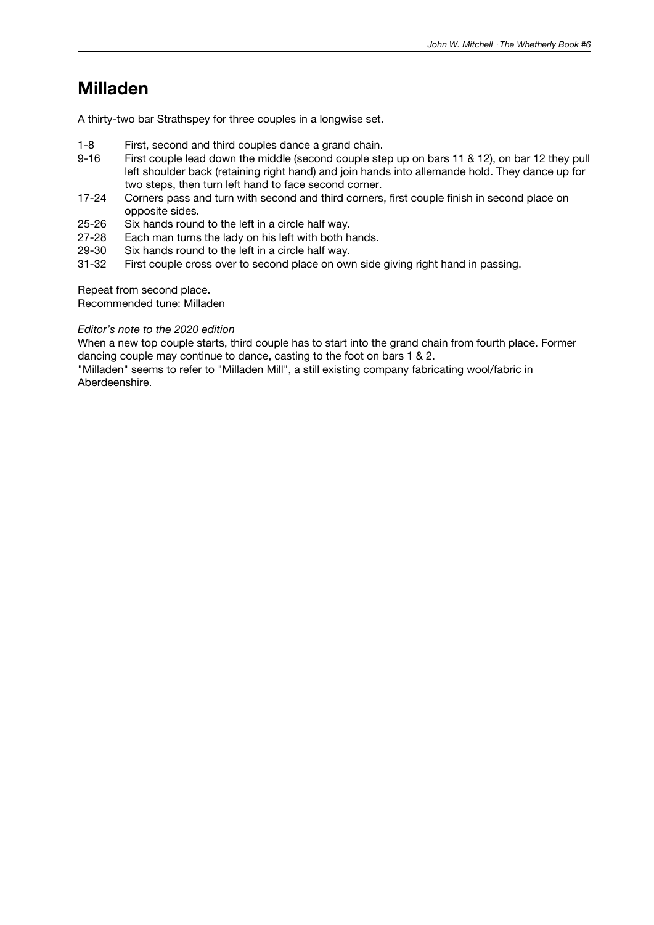### **Milladen**

A thirty-two bar Strathspey for three couples in a longwise set.

- 1-8 First, second and third couples dance a grand chain.<br>9-16 First couple lead down the middle (second couple ste
- First couple lead down the middle (second couple step up on bars 11 & 12), on bar 12 they pull left shoulder back (retaining right hand) and join hands into allemande hold. They dance up for two steps, then turn left hand to face second corner.
- 17-24 Corners pass and turn with second and third corners, first couple finish in second place on opposite sides.
- 25-26 Six hands round to the left in a circle half way.
- 27-28 Each man turns the lady on his left with both hands.<br>29-30 Six hands round to the left in a circle half way.
- 29-30 Six hands round to the left in a circle half way.<br>31-32 First couple cross over to second place on owl
- First couple cross over to second place on own side giving right hand in passing.

Repeat from second place.

Recommended tune: Milladen

#### *Editor's note to the 2020 edition*

When a new top couple starts, third couple has to start into the grand chain from fourth place. Former dancing couple may continue to dance, casting to the foot on bars 1 & 2.

"Milladen" seems to refer to "Milladen Mill", a still existing company fabricating wool/fabric in Aberdeenshire.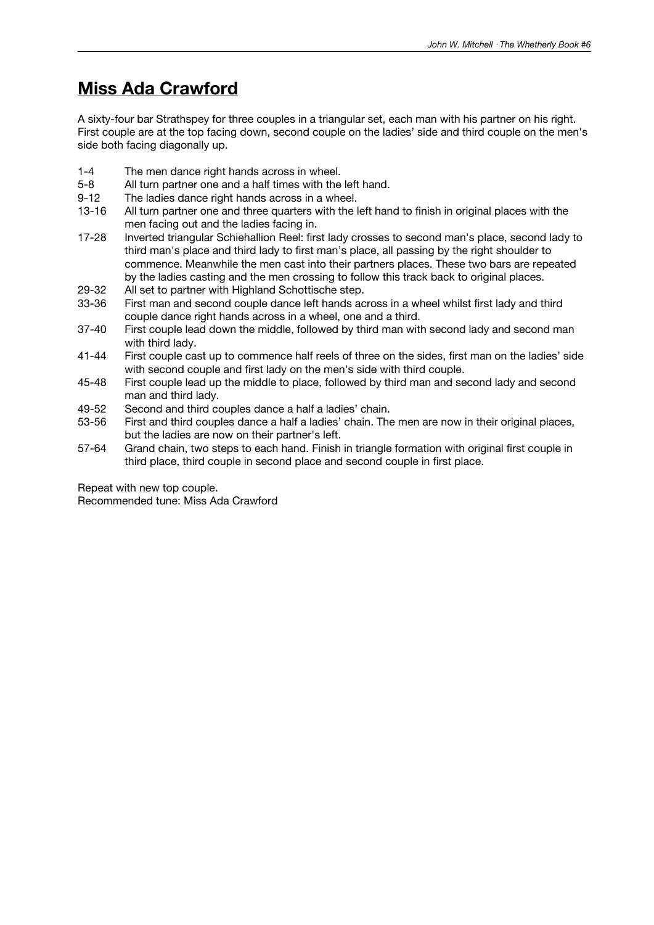# **Miss Ada Crawford**

A sixty-four bar Strathspey for three couples in a triangular set, each man with his partner on his right. First couple are at the top facing down, second couple on the ladies' side and third couple on the men's side both facing diagonally up.

- 1-4 The men dance right hands across in wheel.
- 5-8 All turn partner one and a half times with the left hand.
- 9-12 The ladies dance right hands across in a wheel.
- 13-16 All turn partner one and three quarters with the left hand to finish in original places with the men facing out and the ladies facing in.
- 17-28 Inverted triangular Schiehallion Reel: first lady crosses to second man's place, second lady to third man's place and third lady to first man's place, all passing by the right shoulder to commence. Meanwhile the men cast into their partners places. These two bars are repeated by the ladies casting and the men crossing to follow this track back to original places.
- 29-32 All set to partner with Highland Schottische step.
- 33-36 First man and second couple dance left hands across in a wheel whilst first lady and third couple dance right hands across in a wheel, one and a third.
- 37-40 First couple lead down the middle, followed by third man with second lady and second man with third lady.
- 41-44 First couple cast up to commence half reels of three on the sides, first man on the ladies' side with second couple and first lady on the men's side with third couple.
- 45-48 First couple lead up the middle to place, followed by third man and second lady and second man and third lady.
- 49-52 Second and third couples dance a half a ladies' chain.
- 53-56 First and third couples dance a half a ladies' chain. The men are now in their original places, but the ladies are now on their partner's left.
- 57-64 Grand chain, two steps to each hand. Finish in triangle formation with original first couple in third place, third couple in second place and second couple in first place.

Repeat with new top couple. Recommended tune: Miss Ada Crawford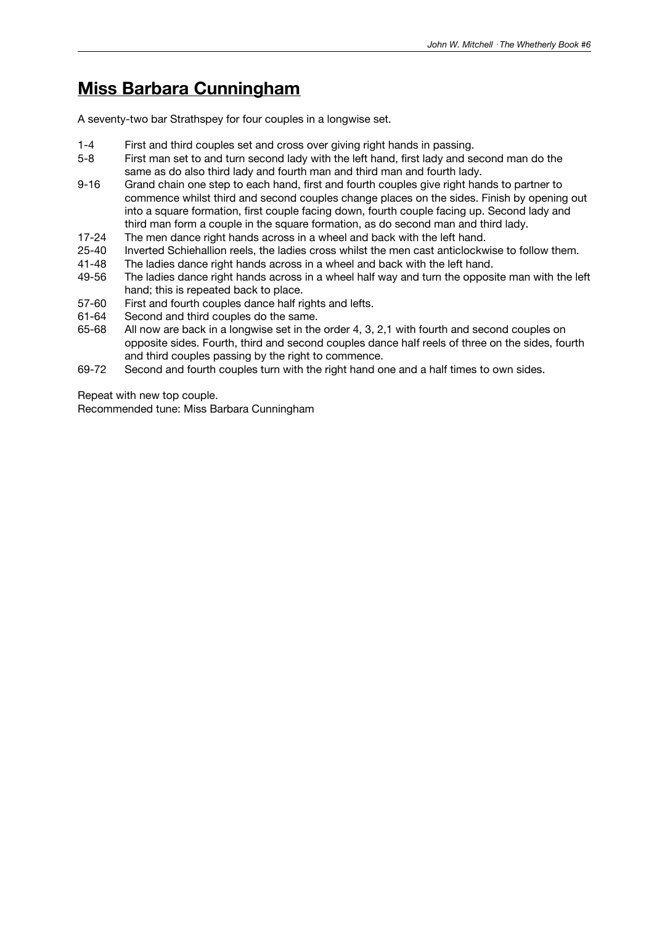### **Miss Barbara Cunningham**

A seventy-two bar Strathspey for four couples in a longwise set.

- 1-4 First and third couples set and cross over giving right hands in passing.
- 5-8 First man set to and turn second lady with the left hand, first lady and second man do the same as do also third lady and fourth man and third man and fourth lady.
- 9-16 Grand chain one step to each hand, first and fourth couples give right hands to partner to commence whilst third and second couples change places on the sides. Finish by opening out into a square formation, first couple facing down, fourth couple facing up. Second lady and third man form a couple in the square formation, as do second man and third lady.
- 17-24 The men dance right hands across in a wheel and back with the left hand.
- 25-40 Inverted Schiehallion reels, the ladies cross whilst the men cast anticlockwise to follow them.<br>41-48 The ladies dance right hands across in a wheel and back with the left hand.
- 41-48 The ladies dance right hands across in a wheel and back with the left hand.<br>49-56 The ladies dance right hands across in a wheel half way and turn the oppos
- The ladies dance right hands across in a wheel half way and turn the opposite man with the left hand; this is repeated back to place.
- 57-60 First and fourth couples dance half rights and lefts.
- 61-64 Second and third couples do the same.
- 65-68 All now are back in a longwise set in the order 4, 3, 2,1 with fourth and second couples on opposite sides. Fourth, third and second couples dance haIf reels of three on the sides, fourth and third couples passing by the right to commence.
- 69-72 Second and fourth couples turn with the right hand one and a half times to own sides.

Repeat with new top couple.

Recommended tune: Miss Barbara Cunningham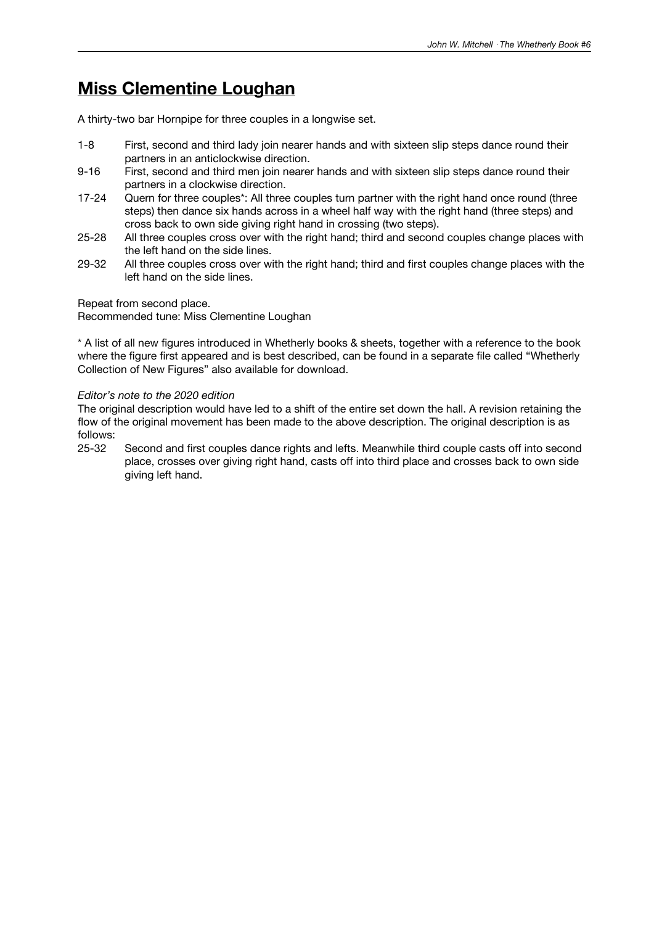### **Miss Clementine Loughan**

A thirty-two bar Hornpipe for three couples in a longwise set.

- 1-8 First, second and third lady join nearer hands and with sixteen slip steps dance round their partners in an anticlockwise direction.
- 9-16 First, second and third men join nearer hands and with sixteen slip steps dance round their partners in a clockwise direction.
- 17-24 Quern for three couples\*: All three couples turn partner with the right hand once round (three steps) then dance six hands across in a wheel half way with the right hand (three steps) and cross back to own side giving right hand in crossing (two steps).
- 25-28 All three couples cross over with the right hand; third and second couples change places with the left hand on the side lines.
- 29-32 All three couples cross over with the right hand; third and first couples change places with the left hand on the side lines.

#### Repeat from second place.

Recommended tune: Miss Clementine Loughan

\* A list of all new figures introduced in Whetherly books & sheets, together with a reference to the book where the figure first appeared and is best described, can be found in a separate file called "Whetherly Collection of New Figures" also available for download.

#### *Editor's note to the 2020 edition*

The original description would have led to a shift of the entire set down the hall. A revision retaining the flow of the original movement has been made to the above description. The original description is as follows:<br>25-32

Second and first couples dance rights and lefts. Meanwhile third couple casts off into second place, crosses over giving right hand, casts off into third place and crosses back to own side giving left hand.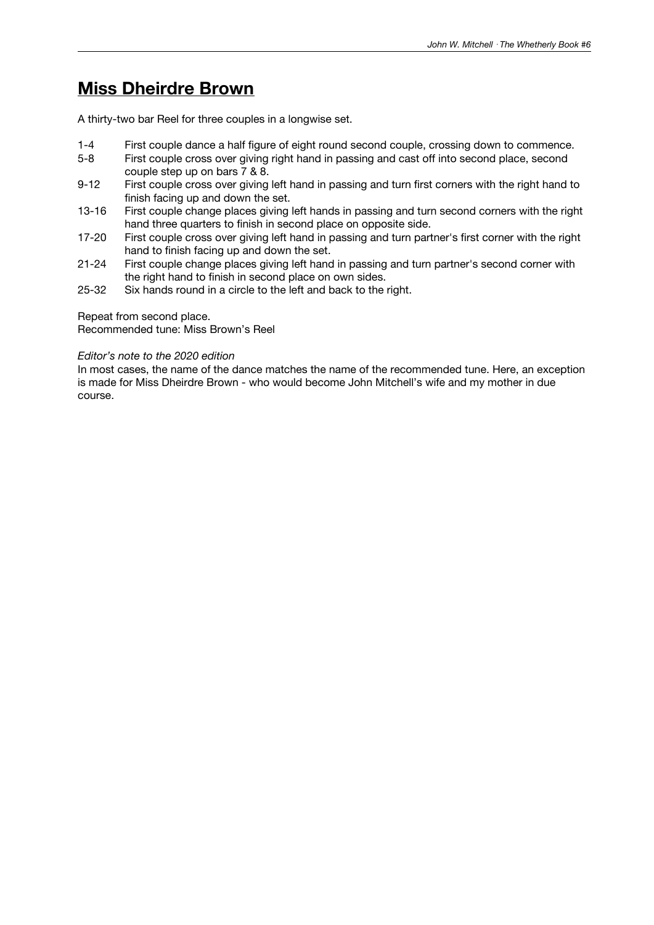### **Miss Dheirdre Brown**

A thirty-two bar Reel for three couples in a longwise set.

- 1-4 First couple dance a half figure of eight round second couple, crossing down to commence.
- 5-8 First couple cross over giving right hand in passing and cast off into second place, second couple step up on bars 7 & 8.
- 9-12 First couple cross over giving left hand in passing and turn first corners with the right hand to finish facing up and down the set.
- 13-16 First couple change places giving left hands in passing and turn second corners with the right hand three quarters to finish in second place on opposite side.
- 17-20 First couple cross over giving left hand in passing and turn partner's first corner with the right hand to finish facing up and down the set.
- 21-24 First couple change places giving left hand in passing and turn partner's second corner with the right hand to finish in second place on own sides.
- 25-32 Six hands round in a circle to the left and back to the right.

Repeat from second place. Recommended tune: Miss Brown's Reel

#### *Editor's note to the 2020 edition*

In most cases, the name of the dance matches the name of the recommended tune. Here, an exception is made for Miss Dheirdre Brown - who would become John Mitchell's wife and my mother in due course.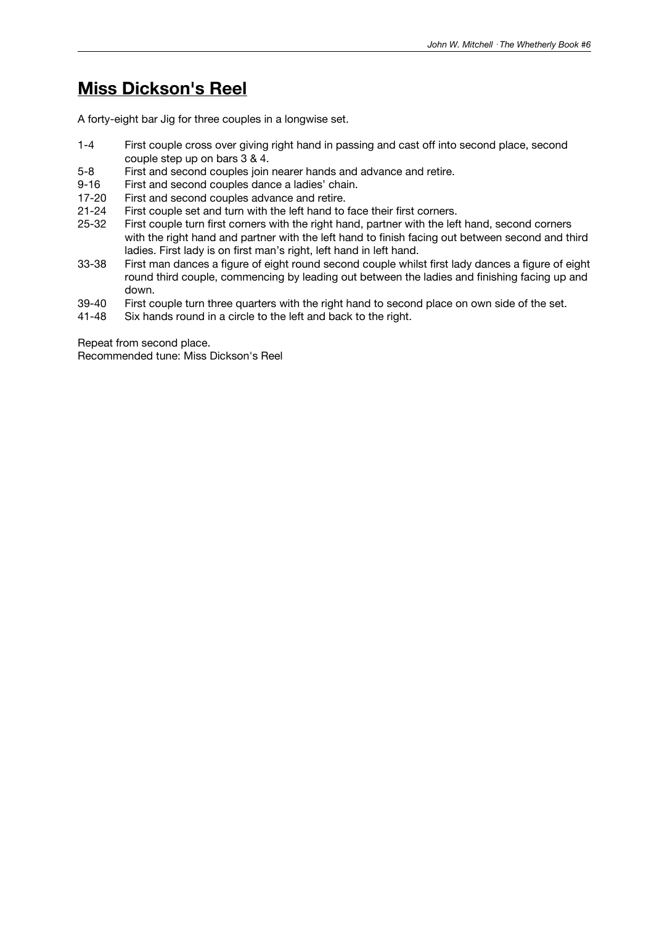### **Miss Dickson's Reel**

A forty-eight bar Jig for three couples in a longwise set.

- 1-4 First couple cross over giving right hand in passing and cast off into second place, second couple step up on bars 3 & 4.
- 5-8 First and second couples join nearer hands and advance and retire.
- 9-16 First and second couples dance a ladies' chain.
- 17-20 First and second couples advance and retire.
- 21-24 First couple set and turn with the left hand to face their first corners.
- 25-32 First couple turn first corners with the right hand, partner with the left hand, second corners with the right hand and partner with the left hand to finish facing out between second and third ladies. First lady is on first man's right, left hand in left hand.
- 33-38 First man dances a figure of eight round second couple whilst first lady dances a figure of eight round third couple, commencing by leading out between the ladies and finishing facing up and down.
- 39-40 First couple turn three quarters with the right hand to second place on own side of the set.<br>41-48 Six hands round in a circle to the left and back to the right.
- Six hands round in a circle to the left and back to the right.

Repeat from second place. Recommended tune: Miss Dickson's Reel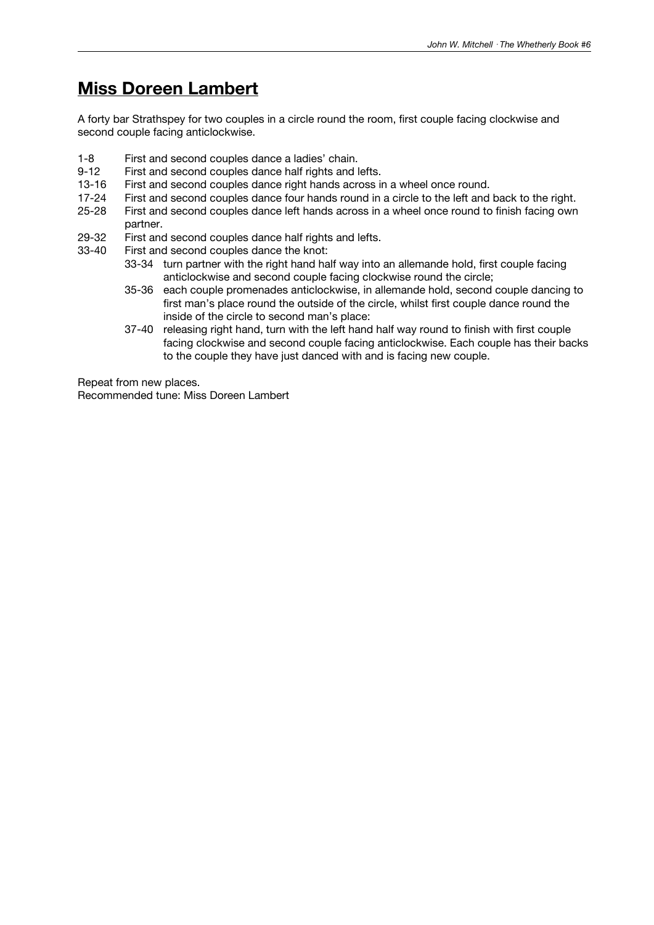### **Miss Doreen Lambert**

A forty bar Strathspey for two couples in a circle round the room, first couple facing clockwise and second couple facing anticlockwise.

- 1-8 First and second couples dance a ladies' chain.<br>9-12 First and second couples dance half rights and I
- First and second couples dance half rights and lefts.
- 13-16 First and second couples dance right hands across in a wheel once round.
- 17-24 First and second couples dance four hands round in a circle to the left and back to the right.
- 25-28 First and second couples dance left hands across in a wheel once round to finish facing own partner.
- 29-32 First and second couples dance half rights and lefts.<br>33-40 First and second couples dance the knot:
- First and second couples dance the knot:
	- 33-34 turn partner with the right hand half way into an allemande hold, first couple facing anticlockwise and second couple facing clockwise round the circle;
	- 35-36 each couple promenades anticlockwise, in allemande hold, second couple dancing to first man's place round the outside of the circle, whilst first couple dance round the inside of the circle to second man's place:
	- 37-40 releasing right hand, turn with the left hand half way round to finish with first couple facing clockwise and second couple facing anticlockwise. Each couple has their backs to the couple they have just danced with and is facing new couple.

Repeat from new places.

Recommended tune: Miss Doreen Lambert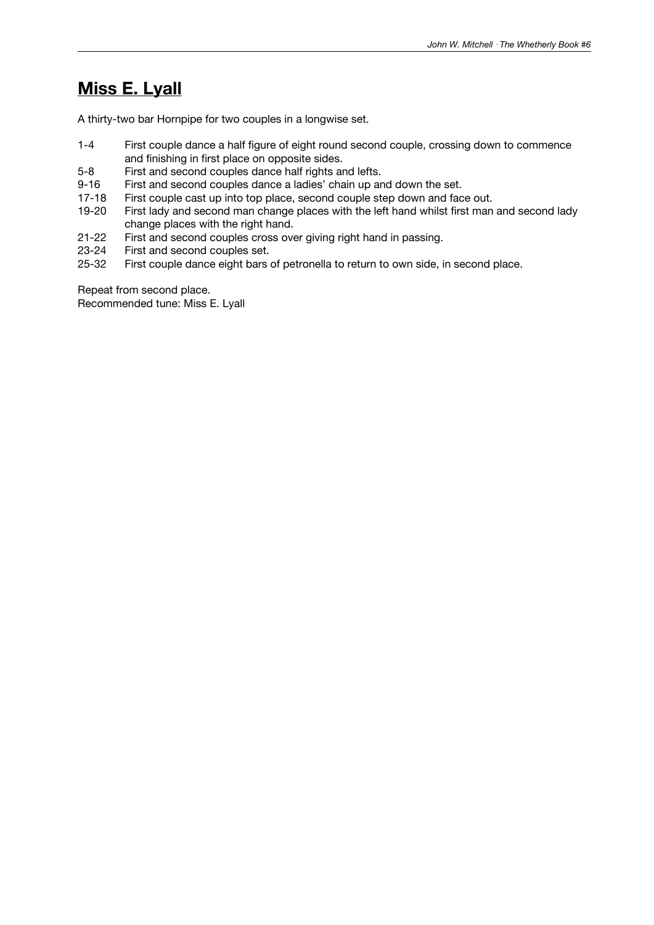## **Miss E. Lyall**

A thirty-two bar Hornpipe for two couples in a longwise set.

- 1-4 First couple dance a half figure of eight round second couple, crossing down to commence and finishing in first place on opposite sides.
- 5-8 First and second couples dance half rights and lefts.
- 9-16 First and second couples dance a ladies' chain up and down the set.
- 17-18 First couple cast up into top place, second couple step down and face out.
- 19-20 First lady and second man change places with the left hand whilst first man and second lady change places with the right hand.
- 21-22 First and second couples cross over giving right hand in passing.<br>23-24 First and second couples set.
- 23-24 First and second couples set.<br>25-32 First couple dance eight bars
- First couple dance eight bars of petronella to return to own side, in second place.

Repeat from second place.

Recommended tune: Miss E. Lyall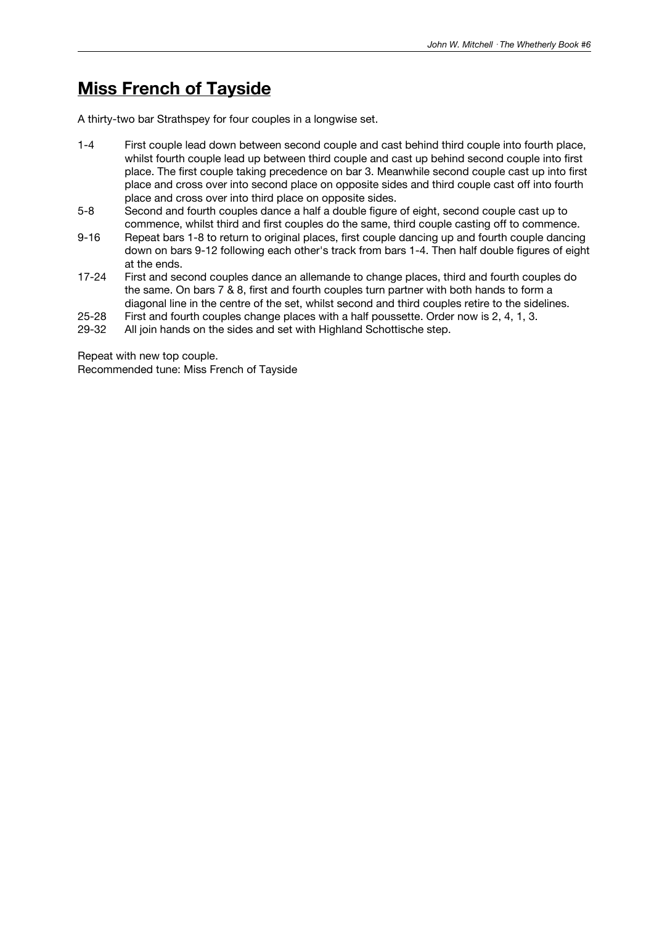### **Miss French of Tayside**

A thirty-two bar Strathspey for four couples in a longwise set.

- 1-4 First couple lead down between second couple and cast behind third couple into fourth place, whilst fourth couple lead up between third couple and cast up behind second couple into first place. The first couple taking precedence on bar 3. Meanwhile second couple cast up into first place and cross over into second place on opposite sides and third couple cast off into fourth place and cross over into third place on opposite sides.
- 5-8 Second and fourth couples dance a half a double figure of eight, second couple cast up to commence, whilst third and first couples do the same, third couple casting off to commence.
- 9-16 Repeat bars 1-8 to return to original places, first couple dancing up and fourth couple dancing down on bars 9-12 following each other's track from bars 1-4. Then half double figures of eight at the ends.
- 17-24 First and second couples dance an allemande to change places, third and fourth couples do the same. On bars 7 & 8, first and fourth couples turn partner with both hands to form a diagonal line in the centre of the set, whilst second and third couples retire to the sidelines.
- 25-28 First and fourth couples change places with a half poussette. Order now is 2, 4, 1, 3.
- 29-32 All join hands on the sides and set with Highland Schottische step.

Repeat with new top couple. Recommended tune: Miss French of Tayside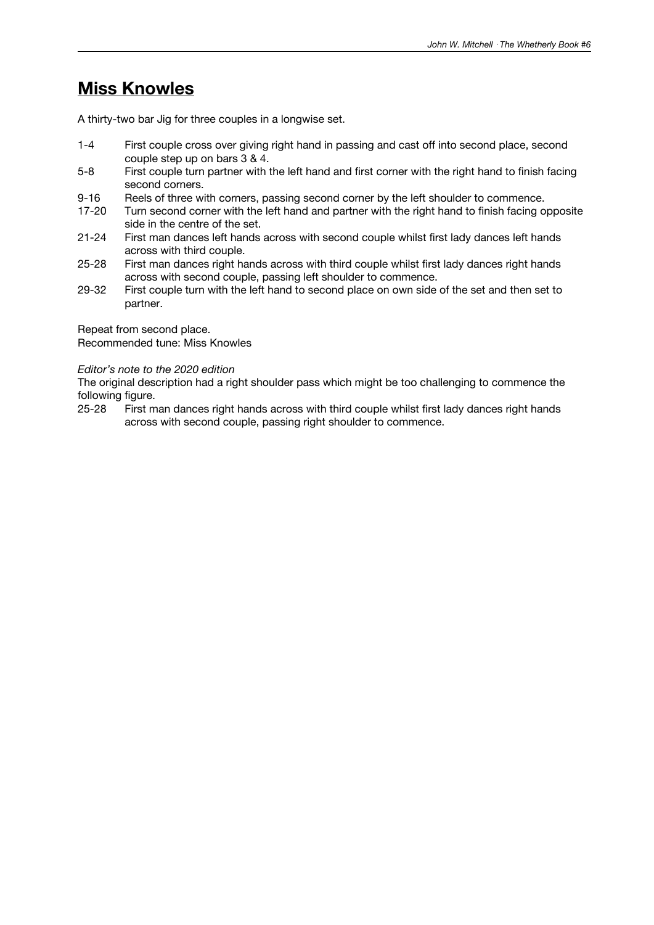### **Miss Knowles**

A thirty-two bar Jig for three couples in a longwise set.

- 1-4 First couple cross over giving right hand in passing and cast off into second place, second couple step up on bars 3 & 4.
- 5-8 First couple turn partner with the left hand and first corner with the right hand to finish facing second corners.
- 9-16 Reels of three with corners, passing second corner by the left shoulder to commence.
- 17-20 Turn second corner with the left hand and partner with the right hand to finish facing opposite side in the centre of the set.
- 21-24 First man dances left hands across with second couple whilst first lady dances left hands across with third couple.
- 25-28 First man dances right hands across with third couple whilst first lady dances right hands across with second couple, passing left shoulder to commence.
- 29-32 First couple turn with the left hand to second place on own side of the set and then set to partner.

Repeat from second place.

Recommended tune: Miss Knowles

#### *Editor's note to the 2020 edition*

The original description had a right shoulder pass which might be too challenging to commence the following figure.<br>25-28 First m

25-28 First man dances right hands across with third couple whilst first lady dances right hands across with second couple, passing right shoulder to commence.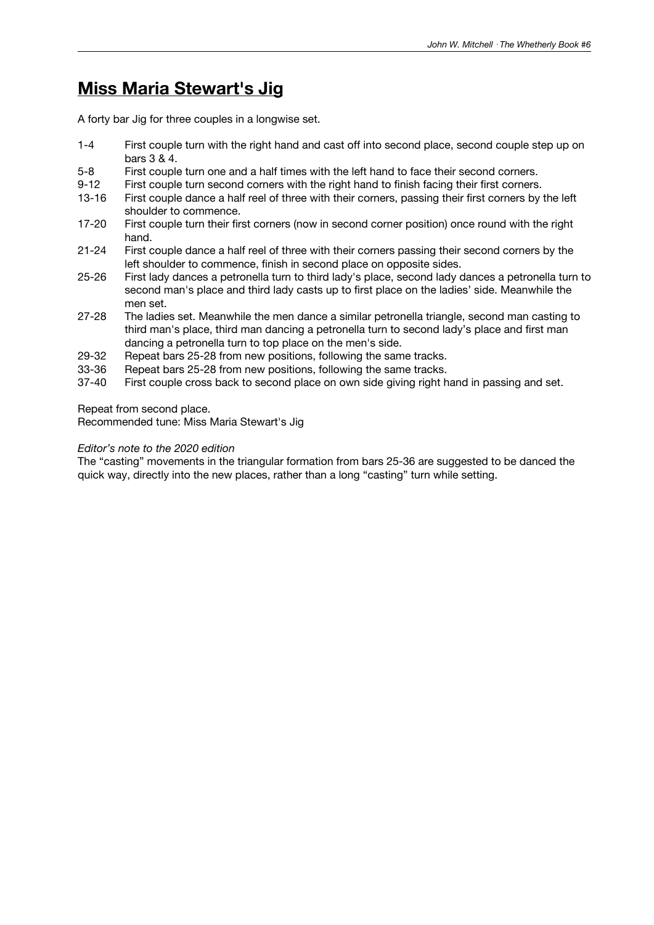### **Miss Maria Stewart's Jig**

A forty bar Jig for three couples in a longwise set.

- 1-4 First couple turn with the right hand and cast off into second place, second couple step up on bars 3 & 4.
- 5-8 First couple turn one and a half times with the left hand to face their second corners.
- 9-12 First couple turn second corners with the right hand to finish facing their first corners.
- 13-16 First couple dance a half reel of three with their corners, passing their first corners by the left shoulder to commence.
- 17-20 First couple turn their first corners (now in second corner position) once round with the right hand.
- 21-24 First couple dance a half reel of three with their corners passing their second corners by the left shoulder to commence, finish in second place on opposite sides.
- 25-26 First lady dances a petronella turn to third lady's place, second lady dances a petronella turn to second man's place and third lady casts up to first place on the ladies' side. Meanwhile the men set.
- 27-28 The ladies set. Meanwhile the men dance a similar petronella triangle, second man casting to third man's place, third man dancing a petronella turn to second lady's place and first man dancing a petronella turn to top place on the men's side.
- 29-32 Repeat bars 25-28 from new positions, following the same tracks.
- 33-36 Repeat bars 25-28 from new positions, following the same tracks.
- 37-40 First couple cross back to second place on own side giving right hand in passing and set.

Repeat from second place.

Recommended tune: Miss Maria Stewart's Jig

#### *Editor's note to the 2020 edition*

The "casting" movements in the triangular formation from bars 25-36 are suggested to be danced the quick way, directly into the new places, rather than a long "casting" turn while setting.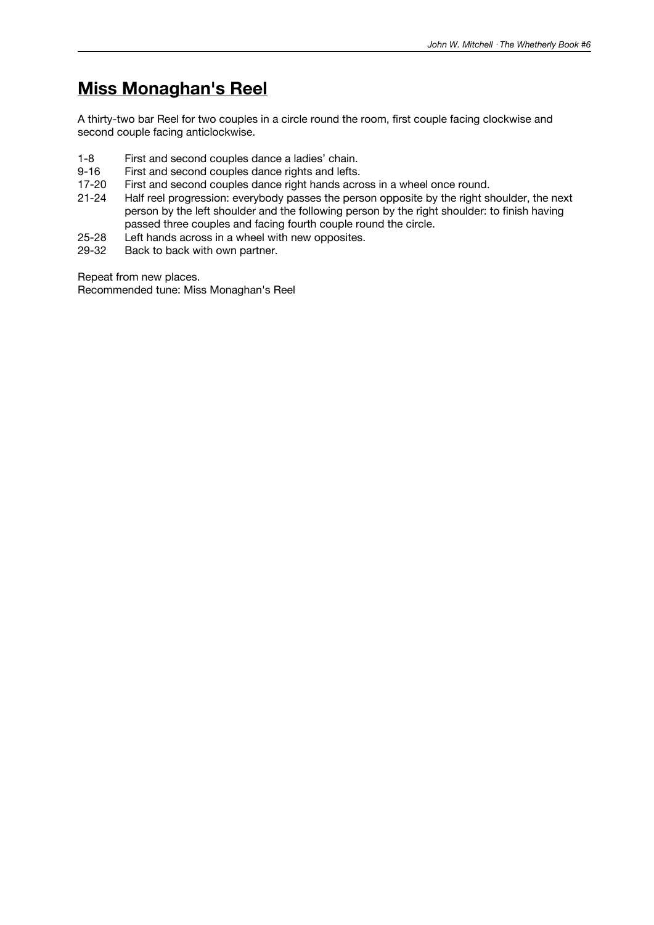# **Miss Monaghan's Reel**

A thirty-two bar Reel for two couples in a circle round the room, first couple facing clockwise and second couple facing anticlockwise.

- 1-8 First and second couples dance a ladies' chain.<br>9-16 First and second couples dance rights and lefts.
- First and second couples dance rights and lefts.
- 17-20 First and second couples dance right hands across in a wheel once round.
- 21-24 Half reel progression: everybody passes the person opposite by the right shoulder, the next person by the left shoulder and the following person by the right shoulder: to finish having passed three couples and facing fourth couple round the circle.
- 25-28 Left hands across in a wheel with new opposites.<br>29-32 Back to back with own partner.
- Back to back with own partner.

Repeat from new places.

Recommended tune: Miss Monaghan's Reel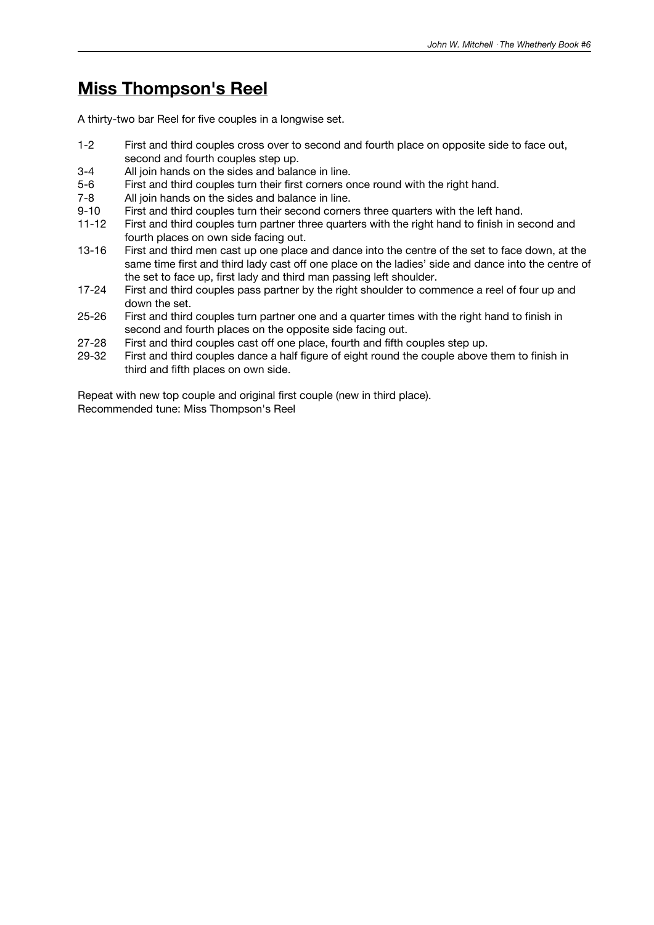# **Miss Thompson's Reel**

A thirty-two bar Reel for five couples in a longwise set.

- 1-2 First and third couples cross over to second and fourth place on opposite side to face out, second and fourth couples step up.
- 3-4 All join hands on the sides and balance in line.
- 5-6 First and third couples turn their first corners once round with the right hand.
- 7-8 All join hands on the sides and balance in line.
- First and third couples turn their second corners three quarters with the left hand.
- 11-12 First and third couples turn partner three quarters with the right hand to finish in second and fourth places on own side facing out.
- 13-16 First and third men cast up one place and dance into the centre of the set to face down, at the same time first and third lady cast off one place on the ladies' side and dance into the centre of the set to face up, first lady and third man passing left shoulder.
- 17-24 First and third couples pass partner by the right shoulder to commence a reel of four up and down the set.
- 25-26 First and third couples turn partner one and a quarter times with the right hand to finish in second and fourth places on the opposite side facing out.
- 27-28 First and third couples cast off one place, fourth and fifth couples step up.
- 29-32 First and third couples dance a half figure of eight round the couple above them to finish in third and fifth places on own side.

Repeat with new top couple and original first couple (new in third place). Recommended tune: Miss Thompson's Reel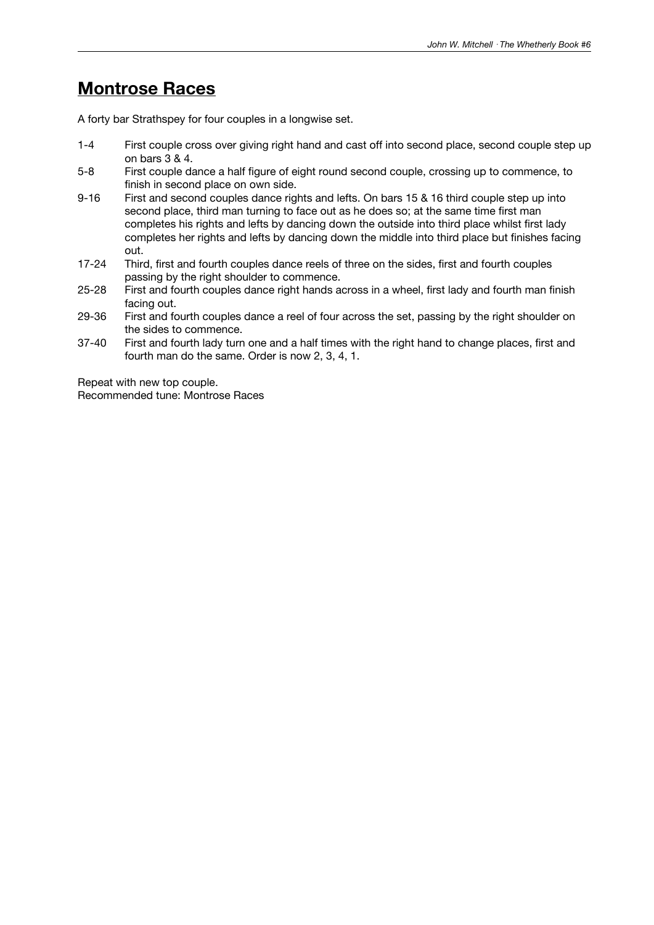### **Montrose Races**

A forty bar Strathspey for four couples in a longwise set.

- 1-4 First couple cross over giving right hand and cast off into second place, second couple step up on bars 3 & 4.
- 5-8 First couple dance a half figure of eight round second couple, crossing up to commence, to finish in second place on own side.
- 9-16 First and second couples dance rights and lefts. On bars 15 & 16 third couple step up into second place, third man turning to face out as he does so; at the same time first man completes his rights and lefts by dancing down the outside into third place whilst first lady completes her rights and lefts by dancing down the middle into third place but finishes facing out.
- 17-24 Third, first and fourth couples dance reels of three on the sides, first and fourth couples passing by the right shoulder to commence.
- 25-28 First and fourth couples dance right hands across in a wheel, first lady and fourth man finish facing out.
- 29-36 First and fourth couples dance a reel of four across the set, passing by the right shoulder on the sides to commence.
- 37-40 First and fourth lady turn one and a half times with the right hand to change places, first and fourth man do the same. Order is now 2, 3, 4, 1.

Repeat with new top couple. Recommended tune: Montrose Races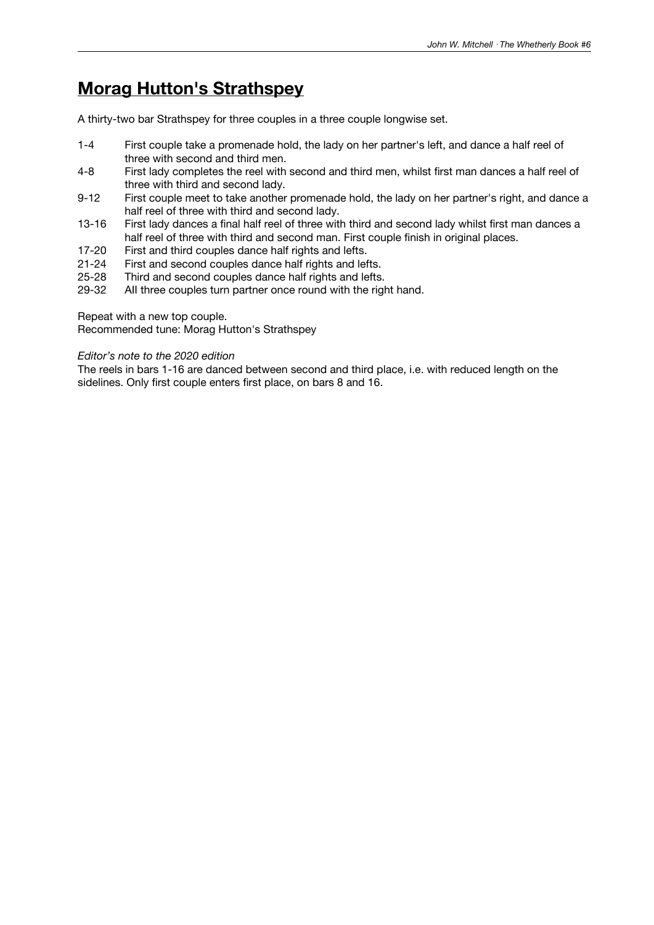## **Morag Hutton's Strathspey**

A thirty-two bar Strathspey for three couples in a three couple longwise set.

- 1-4 First couple take a promenade hold, the lady on her partner's left, and dance a half reel of three with second and third men.
- 4-8 First lady completes the reel with second and third men, whilst first man dances a half reel of three with third and second lady.
- 9-12 First couple meet to take another promenade hold, the lady on her partner's right, and dance a half reel of three with third and second lady.
- 13-16 First lady dances a final half reel of three with third and second lady whilst first man dances a half reel of three with third and second man. First couple finish in original places.
- 17-20 First and third couples dance half rights and lefts.<br>21-24 First and second couples dance half rights and lef
- 21-24 First and second couples dance half rights and lefts.<br>25-28 Third and second couples dance half rights and lefts.
- Third and second couples dance half rights and lefts.
- 29-32 AII three couples turn partner once round with the right hand.

Repeat with a new top couple.

Recommended tune: Morag Hutton's Strathspey

#### *Editor's note to the 2020 edition*

The reels in bars 1-16 are danced between second and third place, i.e. with reduced length on the sidelines. Only first couple enters first place, on bars 8 and 16.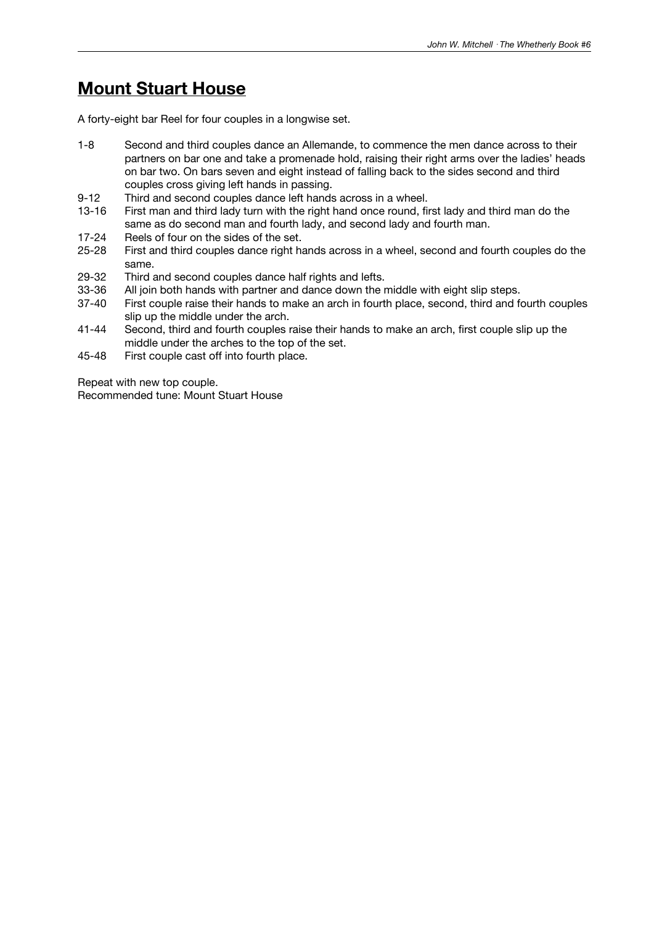### **Mount Stuart House**

A forty-eight bar Reel for four couples in a longwise set.

- 1-8 Second and third couples dance an Allemande, to commence the men dance across to their partners on bar one and take a promenade hold, raising their right arms over the ladies' heads on bar two. On bars seven and eight instead of falling back to the sides second and third couples cross giving left hands in passing.
- 9-12 Third and second couples dance left hands across in a wheel.
- 13-16 First man and third lady turn with the right hand once round, first lady and third man do the same as do second man and fourth lady, and second lady and fourth man.
- 
- 17-24 Reels of four on the sides of the set.<br>25-28 First and third couples dance right has First and third couples dance right hands across in a wheel, second and fourth couples do the same.
- 29-32 Third and second couples dance half rights and lefts.
- 
- 33-36 All join both hands with partner and dance down the middle with eight slip steps.<br>37-40 First couple raise their hands to make an arch in fourth place, second, third and fo First couple raise their hands to make an arch in fourth place, second, third and fourth couples slip up the middle under the arch.
- 41-44 Second, third and fourth couples raise their hands to make an arch, first couple slip up the middle under the arches to the top of the set.
- 45-48 First couple cast off into fourth place.

Repeat with new top couple. Recommended tune: Mount Stuart House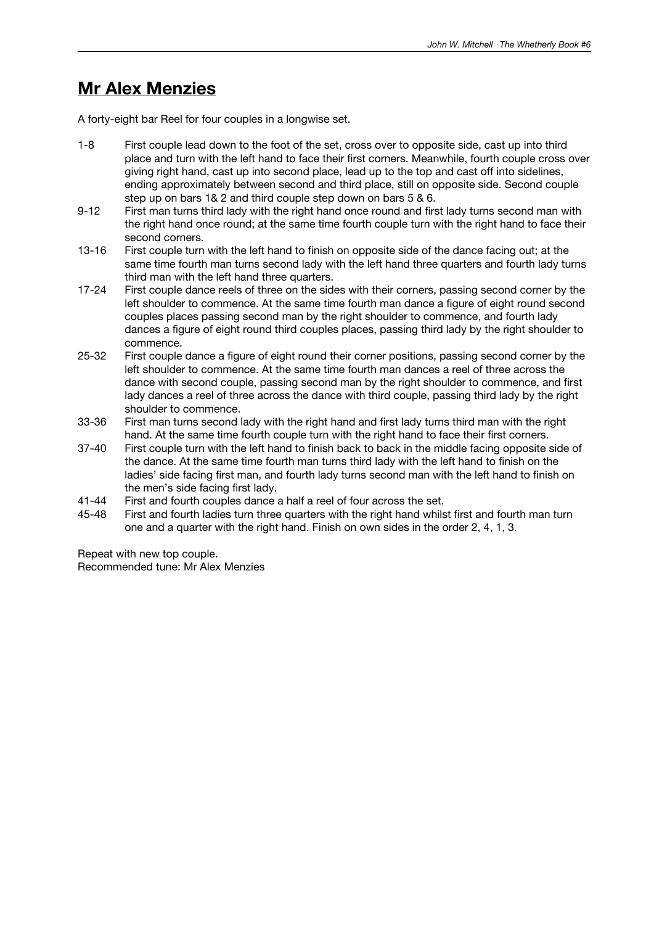### **Mr Alex Menzies**

A forty-eight bar Reel for four couples in a longwise set.

- 1-8 First couple lead down to the foot of the set, cross over to opposite side, cast up into third place and turn with the left hand to face their first corners. Meanwhile, fourth couple cross over giving right hand, cast up into second place, lead up to the top and cast off into sidelines, ending approximately between second and third place, still on opposite side. Second couple step up on bars 1& 2 and third couple step down on bars 5 & 6.
- 9-12 First man turns third lady with the right hand once round and first lady turns second man with the right hand once round; at the same time fourth couple turn with the right hand to face their second corners.
- 13-16 First couple turn with the left hand to finish on opposite side of the dance facing out; at the same time fourth man turns second lady with the left hand three quarters and fourth lady turns third man with the left hand three quarters.
- 17-24 First couple dance reels of three on the sides with their corners, passing second corner by the left shoulder to commence. At the same time fourth man dance a figure of eight round second couples places passing second man by the right shoulder to commence, and fourth lady dances a figure of eight round third couples places, passing third lady by the right shoulder to commence.
- 25-32 First couple dance a figure of eight round their corner positions, passing second corner by the left shoulder to commence. At the same time fourth man dances a reel of three across the dance with second couple, passing second man by the right shoulder to commence, and first lady dances a reel of three across the dance with third couple, passing third lady by the right shoulder to commence.
- 33-36 First man turns second lady with the right hand and first lady turns third man with the right hand. At the same time fourth couple turn with the right hand to face their first corners.
- 37-40 First couple turn with the left hand to finish back to back in the middle facing opposite side of the dance. At the same time fourth man turns third lady with the left hand to finish on the ladies' side facing first man, and fourth lady turns second man with the left hand to finish on the men's side facing first lady.
- 41-44 First and fourth couples dance a half a reel of four across the set.
- 45-48 First and fourth ladies turn three quarters with the right hand whilst first and fourth man turn one and a quarter with the right hand. Finish on own sides in the order 2, 4, 1, 3.

Repeat with new top couple. Recommended tune: Mr Alex Menzies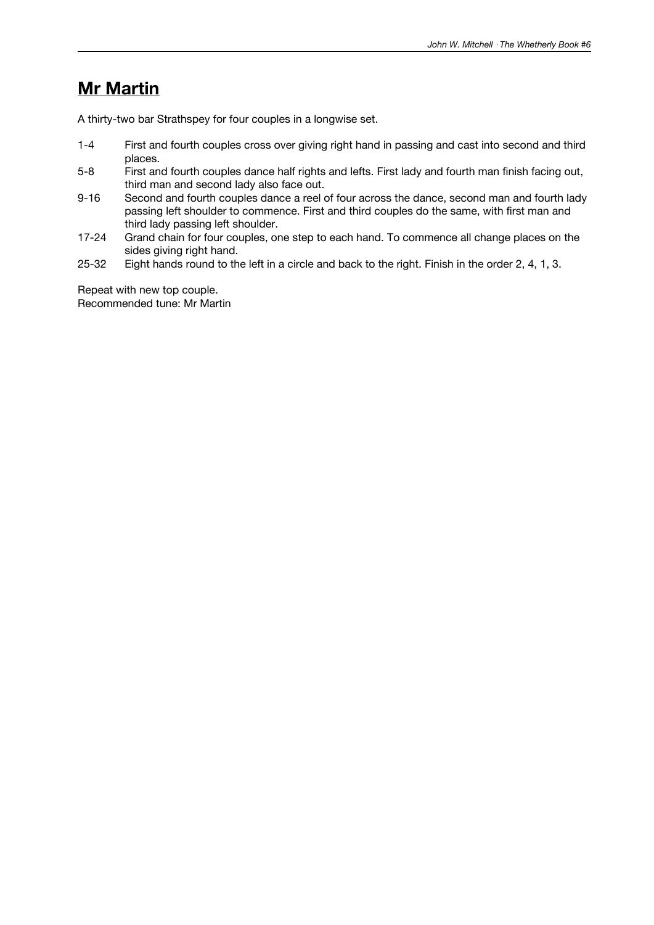### **Mr Martin**

A thirty-two bar Strathspey for four couples in a longwise set.

- 1-4 First and fourth couples cross over giving right hand in passing and cast into second and third places.
- 5-8 First and fourth couples dance half rights and lefts. First lady and fourth man finish facing out, third man and second lady also face out.
- 9-16 Second and fourth couples dance a reel of four across the dance, second man and fourth lady passing left shoulder to commence. First and third couples do the same, with first man and third lady passing left shoulder.
- 17-24 Grand chain for four couples, one step to each hand. To commence all change places on the sides giving right hand.
- 25-32 Eight hands round to the left in a circle and back to the right. Finish in the order 2, 4, 1, 3.

Repeat with new top couple. Recommended tune: Mr Martin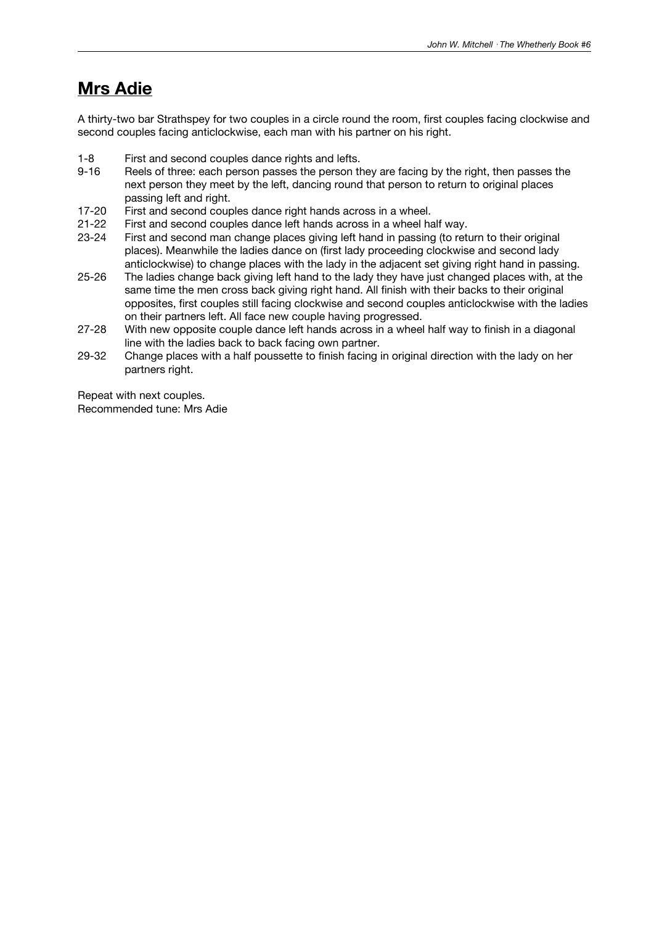### **Mrs Adie**

A thirty-two bar Strathspey for two couples in a circle round the room, first couples facing clockwise and second couples facing anticlockwise, each man with his partner on his right.

- 1-8 First and second couples dance rights and lefts.<br>9-16 Reels of three: each person passes the person the
- Reels of three: each person passes the person they are facing by the right, then passes the next person they meet by the left, dancing round that person to return to original places passing left and right.
- 17-20 First and second couples dance right hands across in a wheel.
- 21-22 First and second couples dance left hands across in a wheel half way.
- 23-24 First and second man change places giving left hand in passing (to return to their original places). Meanwhile the ladies dance on (first lady proceeding clockwise and second lady anticlockwise) to change places with the lady in the adjacent set giving right hand in passing.
- 25-26 The ladies change back giving left hand to the lady they have just changed places with, at the same time the men cross back giving right hand. All finish with their backs to their original opposites, first couples still facing clockwise and second couples anticlockwise with the ladies on their partners left. All face new couple having progressed.
- 27-28 With new opposite couple dance left hands across in a wheel half way to finish in a diagonal line with the ladies back to back facing own partner.
- 29-32 Change places with a half poussette to finish facing in original direction with the lady on her partners right.

Repeat with next couples. Recommended tune: Mrs Adie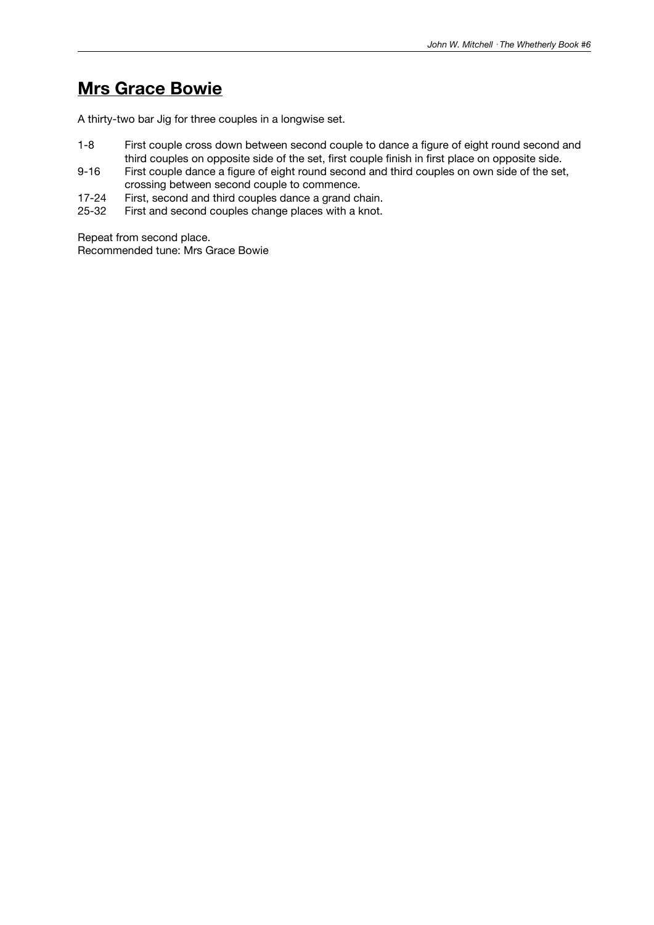### **Mrs Grace Bowie**

A thirty-two bar Jig for three couples in a longwise set.

- 1-8 First couple cross down between second couple to dance a figure of eight round second and third couples on opposite side of the set, first couple finish in first place on opposite side.
- 9-16 First couple dance a figure of eight round second and third couples on own side of the set, crossing between second couple to commence.
- 17-24 First, second and third couples dance a grand chain.
- 25-32 First and second couples change places with a knot.

Repeat from second place. Recommended tune: Mrs Grace Bowie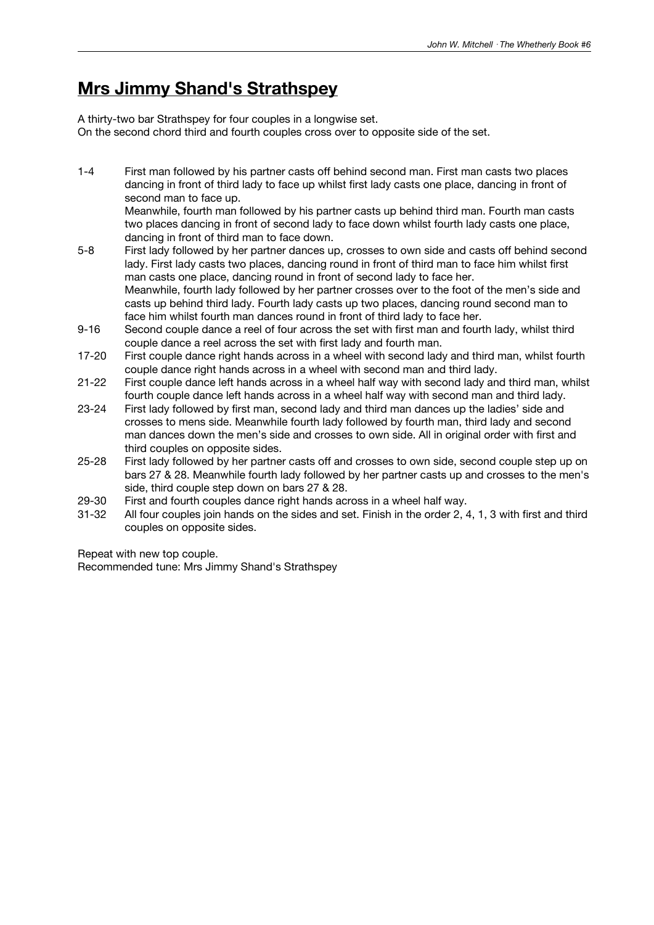### **Mrs Jimmy Shand's Strathspey**

A thirty-two bar Strathspey for four couples in a longwise set. On the second chord third and fourth couples cross over to opposite side of the set.

1-4 First man followed by his partner casts off behind second man. First man casts two places dancing in front of third lady to face up whilst first lady casts one place, dancing in front of second man to face up.

Meanwhile, fourth man followed by his partner casts up behind third man. Fourth man casts two places dancing in front of second lady to face down whilst fourth lady casts one place, dancing in front of third man to face down.

- 5-8 First lady followed by her partner dances up, crosses to own side and casts off behind second lady. First lady casts two places, dancing round in front of third man to face him whilst first man casts one place, dancing round in front of second lady to face her. Meanwhile, fourth lady followed by her partner crosses over to the foot of the men's side and casts up behind third lady. Fourth lady casts up two places, dancing round second man to face him whilst fourth man dances round in front of third lady to face her.
- 9-16 Second couple dance a reel of four across the set with first man and fourth lady, whilst third couple dance a reel across the set with first lady and fourth man.
- 17-20 First couple dance right hands across in a wheel with second lady and third man, whilst fourth couple dance right hands across in a wheel with second man and third lady.
- 21-22 First couple dance left hands across in a wheel half way with second lady and third man, whilst fourth couple dance left hands across in a wheel half way with second man and third lady.
- 23-24 First lady followed by first man, second lady and third man dances up the ladies' side and crosses to mens side. Meanwhile fourth lady followed by fourth man, third lady and second man dances down the men's side and crosses to own side. All in original order with first and third couples on opposite sides.
- 25-28 First lady followed by her partner casts off and crosses to own side, second couple step up on bars 27 & 28. Meanwhile fourth lady followed by her partner casts up and crosses to the men's side, third couple step down on bars 27 & 28.
- 29-30 First and fourth couples dance right hands across in a wheel half way.
- 31-32 All four couples join hands on the sides and set. Finish in the order 2, 4, 1, 3 with first and third couples on opposite sides.

Repeat with new top couple.

Recommended tune: Mrs Jimmy Shand's Strathspey